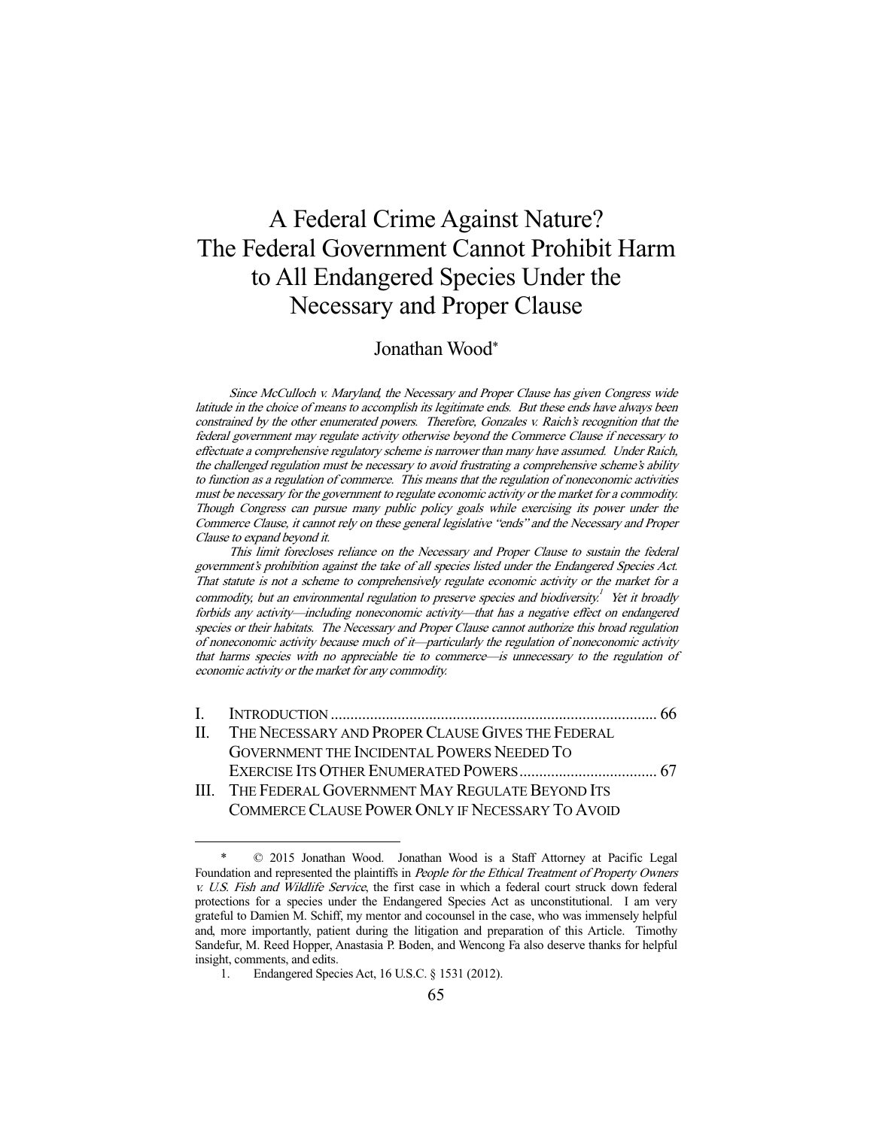# A Federal Crime Against Nature? The Federal Government Cannot Prohibit Harm to All Endangered Species Under the Necessary and Proper Clause

## Jonathan Wood\*

Since McCulloch v. Maryland, the Necessary and Proper Clause has given Congress wide latitude in the choice of means to accomplish its legitimate ends. But these ends have always been constrained by the other enumerated powers. Therefore, Gonzales v. Raich's recognition that the federal government may regulate activity otherwise beyond the Commerce Clause if necessary to effectuate a comprehensive regulatory scheme is narrower than many have assumed. Under Raich, the challenged regulation must be necessary to avoid frustrating a comprehensive scheme's ability to function as a regulation of commerce. This means that the regulation of noneconomic activities must be necessary for the government to regulate economic activity or the market for a commodity. Though Congress can pursue many public policy goals while exercising its power under the Commerce Clause, it cannot rely on these general legislative "ends" and the Necessary and Proper Clause to expand beyond it.

This limit forecloses reliance on the Necessary and Proper Clause to sustain the federal government's prohibition against the take of all species listed under the Endangered Species Act. That statute is not a scheme to comprehensively regulate economic activity or the market for a commodity, but an environmental regulation to preserve species and biodiversity.<sup>1</sup> Yet it broadly forbids any activity—including noneconomic activity—that has a negative effect on endangered species or their habitats. The Necessary and Proper Clause cannot authorize this broad regulation of noneconomic activity because much of it—particularly the regulation of noneconomic activity that harms species with no appreciable tie to commerce—is unnecessary to the regulation of economic activity or the market for any commodity.

| II. THE NECESSARY AND PROPER CLAUSE GIVES THE FEDERAL |  |
|-------------------------------------------------------|--|
| GOVERNMENT THE INCIDENTAL POWERS NEEDED TO            |  |
|                                                       |  |
| III. THE FEDERAL GOVERNMENT MAY REGULATE BEYOND ITS   |  |

COMMERCE CLAUSE POWER ONLY IF NECESSARY TO AVOID

 $© 2015 Jonathan Wood. Jonathan Wood is a Staff Attorney at Pacific Legal$ Foundation and represented the plaintiffs in *People for the Ethical Treatment of Property Owners* v. U.S. Fish and Wildlife Service, the first case in which a federal court struck down federal protections for a species under the Endangered Species Act as unconstitutional. I am very grateful to Damien M. Schiff, my mentor and cocounsel in the case, who was immensely helpful and, more importantly, patient during the litigation and preparation of this Article. Timothy Sandefur, M. Reed Hopper, Anastasia P. Boden, and Wencong Fa also deserve thanks for helpful insight, comments, and edits.

 <sup>1.</sup> Endangered Species Act, 16 U.S.C. § 1531 (2012).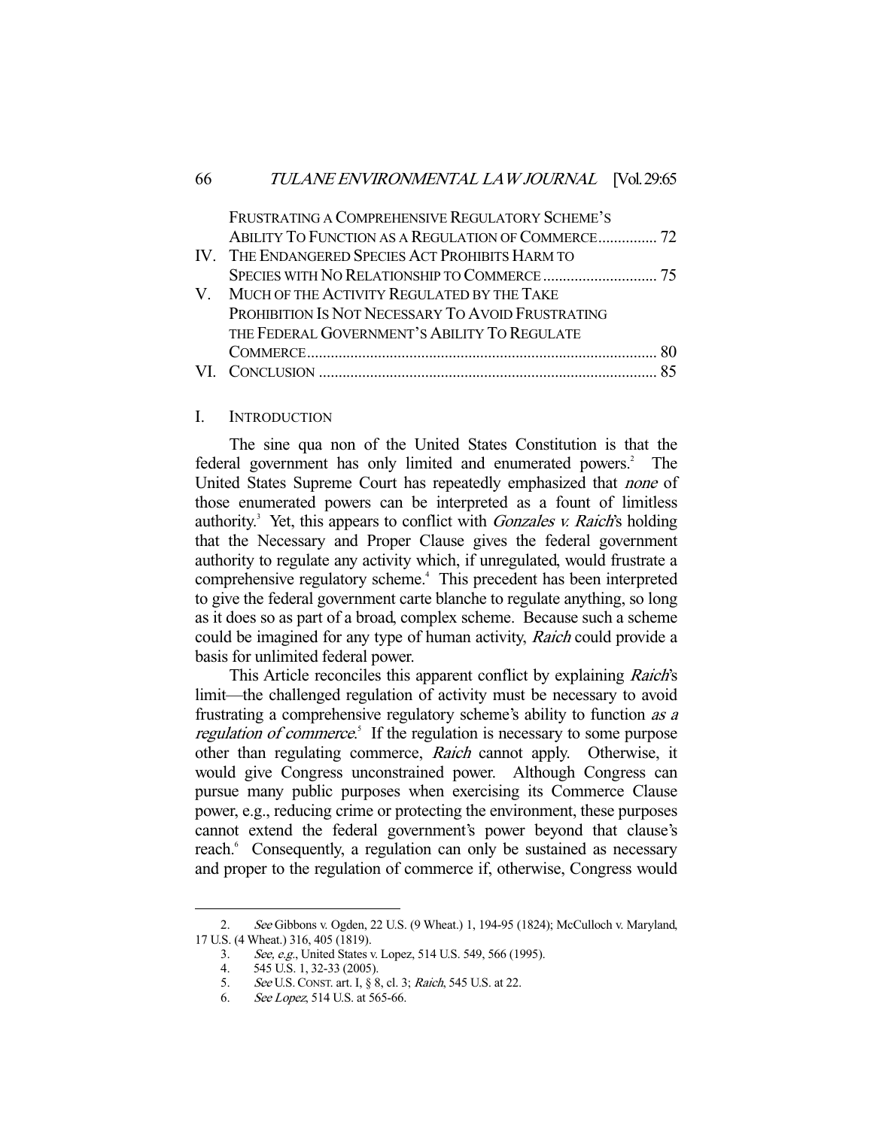| FRUSTRATING A COMPREHENSIVE REGULATORY SCHEME'S   |                                                    |
|---------------------------------------------------|----------------------------------------------------|
|                                                   |                                                    |
| IV. THE ENDANGERED SPECIES ACT PROHIBITS HARM TO  |                                                    |
|                                                   |                                                    |
| V. MUCH OF THE ACTIVITY REGULATED BY THE TAKE     |                                                    |
| PROHIBITION IS NOT NECESSARY TO AVOID FRUSTRATING |                                                    |
| THE FEDERAL GOVERNMENT'S ABILITY TO REGULATE      |                                                    |
|                                                   | -80                                                |
|                                                   |                                                    |
|                                                   | ABILITY TO FUNCTION AS A REGULATION OF COMMERCE 72 |

#### I. INTRODUCTION

 The sine qua non of the United States Constitution is that the federal government has only limited and enumerated powers.<sup>2</sup> The United States Supreme Court has repeatedly emphasized that none of those enumerated powers can be interpreted as a fount of limitless authority.<sup>3</sup> Yet, this appears to conflict with *Gonzales v. Raich's* holding that the Necessary and Proper Clause gives the federal government authority to regulate any activity which, if unregulated, would frustrate a comprehensive regulatory scheme.<sup>4</sup> This precedent has been interpreted to give the federal government carte blanche to regulate anything, so long as it does so as part of a broad, complex scheme. Because such a scheme could be imagined for any type of human activity, Raich could provide a basis for unlimited federal power.

This Article reconciles this apparent conflict by explaining Raich's limit—the challenged regulation of activity must be necessary to avoid frustrating a comprehensive regulatory scheme's ability to function as a regulation of commerce.<sup>5</sup> If the regulation is necessary to some purpose other than regulating commerce, Raich cannot apply. Otherwise, it would give Congress unconstrained power. Although Congress can pursue many public purposes when exercising its Commerce Clause power, e.g., reducing crime or protecting the environment, these purposes cannot extend the federal government's power beyond that clause's reach.<sup>6</sup> Consequently, a regulation can only be sustained as necessary and proper to the regulation of commerce if, otherwise, Congress would

 <sup>2.</sup> See Gibbons v. Ogden, 22 U.S. (9 Wheat.) 1, 194-95 (1824); McCulloch v. Maryland, 17 U.S. (4 Wheat.) 316, 405 (1819).

 <sup>3.</sup> See, e.g., United States v. Lopez, 514 U.S. 549, 566 (1995).

 <sup>4. 545</sup> U.S. 1, 32-33 (2005).

<sup>5.</sup> See U.S. CONST. art. I, § 8, cl. 3; Raich, 545 U.S. at 22.

 <sup>6.</sup> See Lopez, 514 U.S. at 565-66.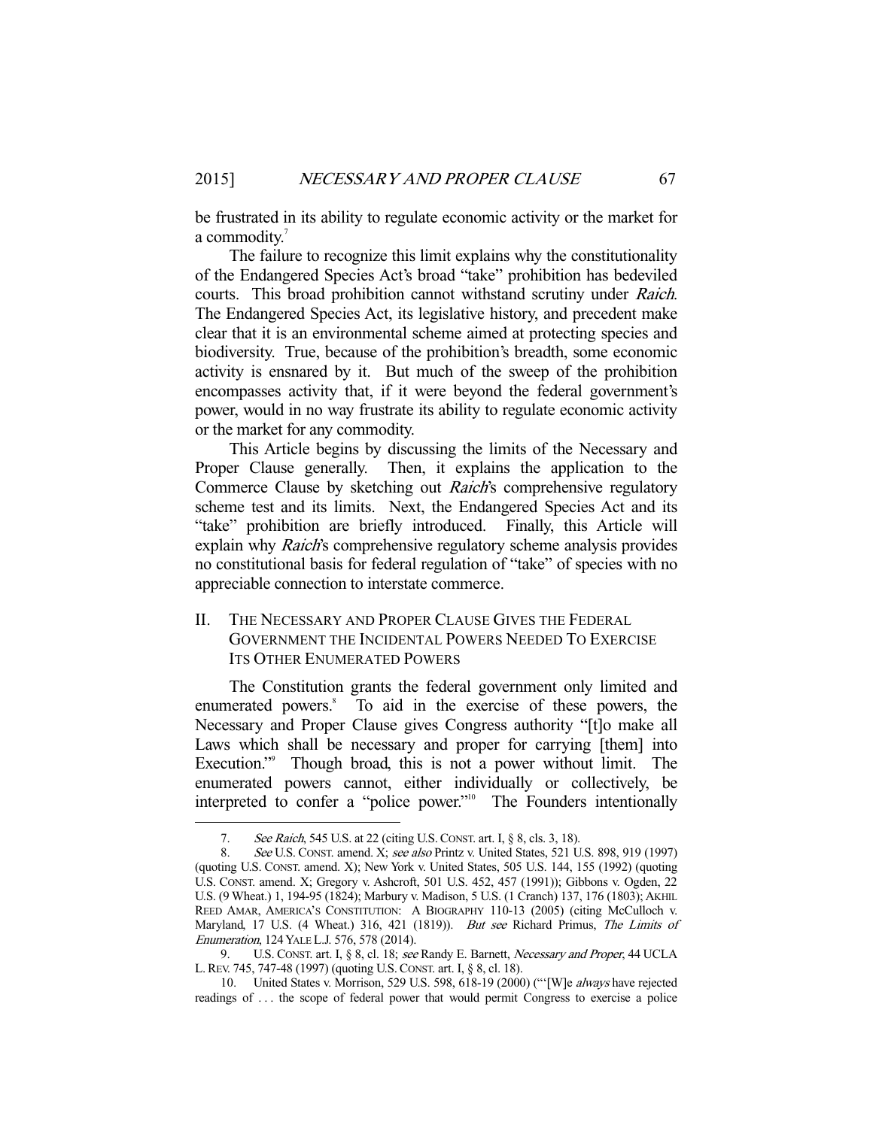be frustrated in its ability to regulate economic activity or the market for a commodity.<sup>7</sup>

 The failure to recognize this limit explains why the constitutionality of the Endangered Species Act's broad "take" prohibition has bedeviled courts. This broad prohibition cannot withstand scrutiny under Raich. The Endangered Species Act, its legislative history, and precedent make clear that it is an environmental scheme aimed at protecting species and biodiversity. True, because of the prohibition's breadth, some economic activity is ensnared by it. But much of the sweep of the prohibition encompasses activity that, if it were beyond the federal government's power, would in no way frustrate its ability to regulate economic activity or the market for any commodity.

 This Article begins by discussing the limits of the Necessary and Proper Clause generally. Then, it explains the application to the Commerce Clause by sketching out *Raich's* comprehensive regulatory scheme test and its limits. Next, the Endangered Species Act and its "take" prohibition are briefly introduced. Finally, this Article will explain why *Raich's* comprehensive regulatory scheme analysis provides no constitutional basis for federal regulation of "take" of species with no appreciable connection to interstate commerce.

### II. THE NECESSARY AND PROPER CLAUSE GIVES THE FEDERAL GOVERNMENT THE INCIDENTAL POWERS NEEDED TO EXERCISE ITS OTHER ENUMERATED POWERS

 The Constitution grants the federal government only limited and enumerated powers.<sup>8</sup> To aid in the exercise of these powers, the Necessary and Proper Clause gives Congress authority "[t]o make all Laws which shall be necessary and proper for carrying [them] into Execution."<sup>9</sup> Though broad, this is not a power without limit. The enumerated powers cannot, either individually or collectively, be interpreted to confer a "police power."<sup>10</sup> The Founders intentionally

<sup>7.</sup> See Raich, 545 U.S. at 22 (citing U.S. CONST. art. I, § 8, cls. 3, 18).

<sup>8.</sup> See U.S. CONST. amend. X; see also Printz v. United States, 521 U.S. 898, 919 (1997) (quoting U.S. CONST. amend. X); New York v. United States, 505 U.S. 144, 155 (1992) (quoting U.S. CONST. amend. X; Gregory v. Ashcroft, 501 U.S. 452, 457 (1991)); Gibbons v. Ogden, 22 U.S. (9 Wheat.) 1, 194-95 (1824); Marbury v. Madison, 5 U.S. (1 Cranch) 137, 176 (1803); AKHIL REED AMAR, AMERICA'S CONSTITUTION: A BIOGRAPHY 110-13 (2005) (citing McCulloch v. Maryland, 17 U.S. (4 Wheat.) 316, 421 (1819)). But see Richard Primus, The Limits of Enumeration, 124 YALE L.J. 576, 578 (2014).

<sup>9.</sup> U.S. CONST. art. I, § 8, cl. 18; see Randy E. Barnett, Necessary and Proper, 44 UCLA L.REV. 745, 747-48 (1997) (quoting U.S.CONST. art. I, § 8, cl. 18).

 <sup>10.</sup> United States v. Morrison, 529 U.S. 598, 618-19 (2000) ("'[W]e always have rejected readings of . . . the scope of federal power that would permit Congress to exercise a police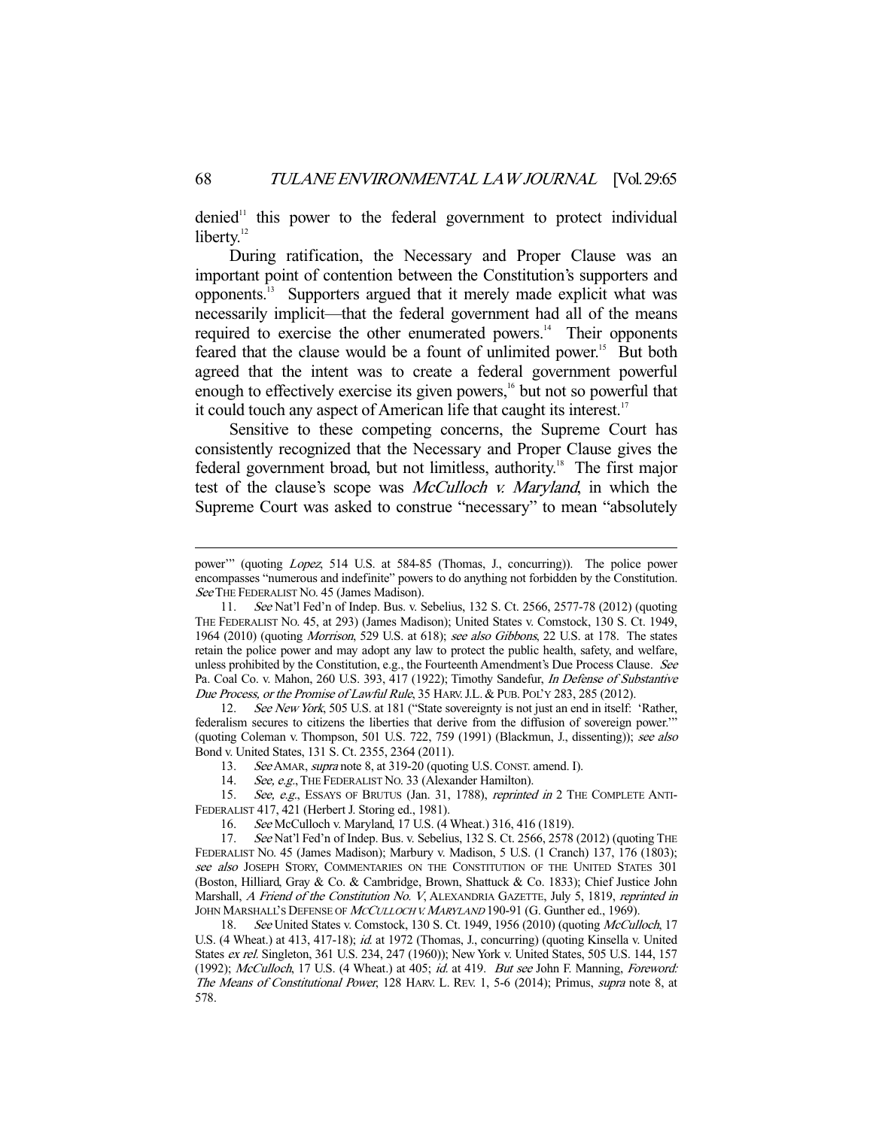$denied<sup>11</sup>$  this power to the federal government to protect individual liberty.<sup>12</sup>

 During ratification, the Necessary and Proper Clause was an important point of contention between the Constitution's supporters and opponents.13 Supporters argued that it merely made explicit what was necessarily implicit—that the federal government had all of the means required to exercise the other enumerated powers.<sup>14</sup> Their opponents feared that the clause would be a fount of unlimited power.<sup>15</sup> But both agreed that the intent was to create a federal government powerful enough to effectively exercise its given powers,<sup>16</sup> but not so powerful that it could touch any aspect of American life that caught its interest.<sup>17</sup>

 Sensitive to these competing concerns, the Supreme Court has consistently recognized that the Necessary and Proper Clause gives the federal government broad, but not limitless, authority.<sup>18</sup> The first major test of the clause's scope was McCulloch v. Maryland, in which the Supreme Court was asked to construe "necessary" to mean "absolutely

12. See New York, 505 U.S. at 181 ("State sovereignty is not just an end in itself: 'Rather, federalism secures to citizens the liberties that derive from the diffusion of sovereign power.'" (quoting Coleman v. Thompson, 501 U.S. 722, 759 (1991) (Blackmun, J., dissenting)); see also Bond v. United States, 131 S. Ct. 2355, 2364 (2011).

13. See AMAR, supra note 8, at 319-20 (quoting U.S. CONST. amend. I).

14. See, e.g., THE FEDERALIST NO. 33 (Alexander Hamilton).

15. See, e.g., ESSAYS OF BRUTUS (Jan. 31, 1788), reprinted in 2 THE COMPLETE ANTI-FEDERALIST 417, 421 (Herbert J. Storing ed., 1981).

16. See McCulloch v. Maryland, 17 U.S. (4 Wheat.) 316, 416 (1819).

 17. See Nat'l Fed'n of Indep. Bus. v. Sebelius, 132 S. Ct. 2566, 2578 (2012) (quoting THE FEDERALIST NO. 45 (James Madison); Marbury v. Madison, 5 U.S. (1 Cranch) 137, 176 (1803); see also JOSEPH STORY, COMMENTARIES ON THE CONSTITUTION OF THE UNITED STATES 301 (Boston, Hilliard, Gray & Co. & Cambridge, Brown, Shattuck & Co. 1833); Chief Justice John Marshall, A Friend of the Constitution No. V, ALEXANDRIA GAZETTE, July 5, 1819, reprinted in JOHN MARSHALL'S DEFENSE OF MCCULLOCH V. MARYLAND 190-91 (G. Gunther ed., 1969).

18. See United States v. Comstock, 130 S. Ct. 1949, 1956 (2010) (quoting McCulloch, 17 U.S. (4 Wheat.) at 413, 417-18); id. at 1972 (Thomas, J., concurring) (quoting Kinsella v. United States ex rel. Singleton, 361 U.S. 234, 247 (1960)); New York v. United States, 505 U.S. 144, 157 (1992); McCulloch, 17 U.S. (4 Wheat.) at 405; id. at 419. But see John F. Manning, Foreword: The Means of Constitutional Power, 128 HARV. L. REV. 1, 5-6 (2014); Primus, supra note 8, at 578.

power" (quoting Lopez, 514 U.S. at 584-85 (Thomas, J., concurring)). The police power encompasses "numerous and indefinite" powers to do anything not forbidden by the Constitution. See THE FEDERALIST NO. 45 (James Madison).

 <sup>11.</sup> See Nat'l Fed'n of Indep. Bus. v. Sebelius, 132 S. Ct. 2566, 2577-78 (2012) (quoting THE FEDERALIST NO. 45, at 293) (James Madison); United States v. Comstock, 130 S. Ct. 1949, 1964 (2010) (quoting Morrison, 529 U.S. at 618); see also Gibbons, 22 U.S. at 178. The states retain the police power and may adopt any law to protect the public health, safety, and welfare, unless prohibited by the Constitution, e.g., the Fourteenth Amendment's Due Process Clause. See Pa. Coal Co. v. Mahon, 260 U.S. 393, 417 (1922); Timothy Sandefur, In Defense of Substantive Due Process, or the Promise of Lawful Rule, 35 HARV. J.L. & PUB. POL'Y 283, 285 (2012).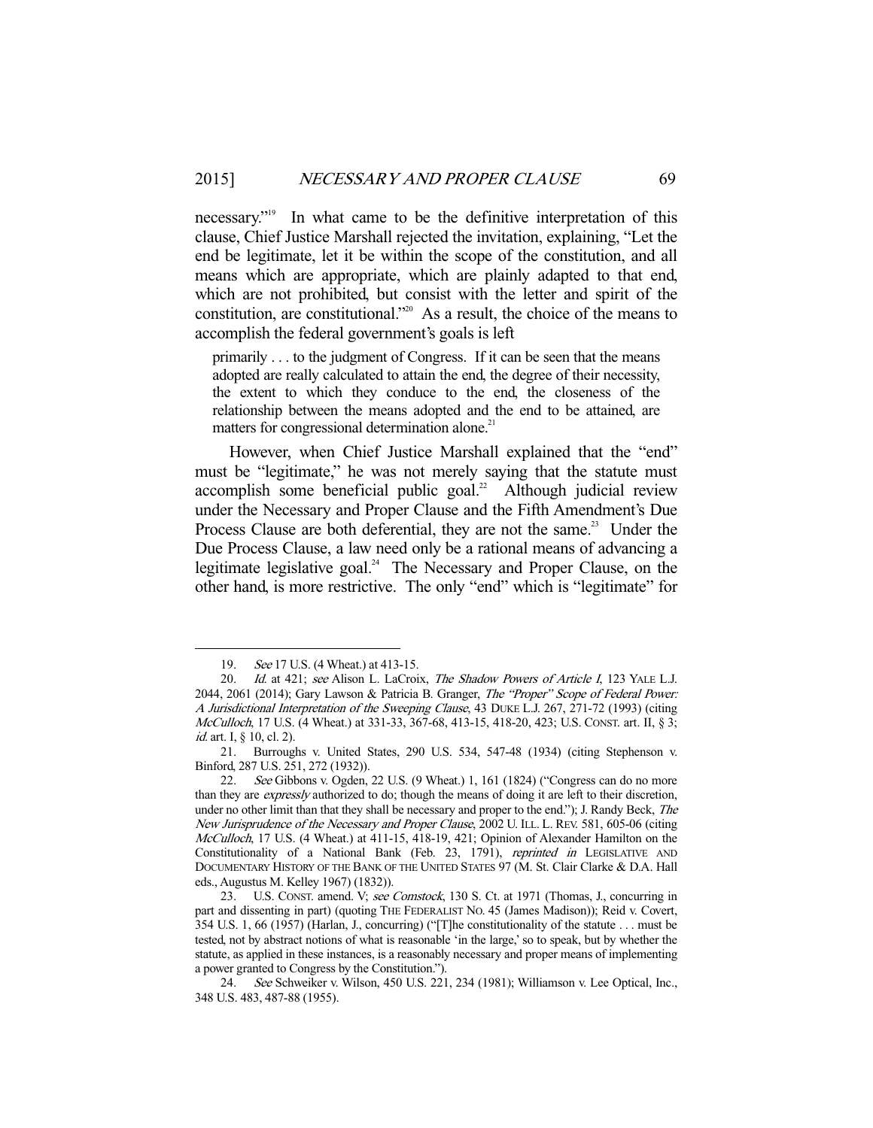necessary."19 In what came to be the definitive interpretation of this clause, Chief Justice Marshall rejected the invitation, explaining, "Let the end be legitimate, let it be within the scope of the constitution, and all means which are appropriate, which are plainly adapted to that end, which are not prohibited, but consist with the letter and spirit of the constitution, are constitutional."20 As a result, the choice of the means to accomplish the federal government's goals is left

primarily . . . to the judgment of Congress. If it can be seen that the means adopted are really calculated to attain the end, the degree of their necessity, the extent to which they conduce to the end, the closeness of the relationship between the means adopted and the end to be attained, are matters for congressional determination alone.<sup>21</sup>

 However, when Chief Justice Marshall explained that the "end" must be "legitimate," he was not merely saying that the statute must accomplish some beneficial public goal.<sup>22</sup> Although judicial review under the Necessary and Proper Clause and the Fifth Amendment's Due Process Clause are both deferential, they are not the same.<sup>23</sup> Under the Due Process Clause, a law need only be a rational means of advancing a legitimate legislative goal.<sup>24</sup> The Necessary and Proper Clause, on the other hand, is more restrictive. The only "end" which is "legitimate" for

<sup>19.</sup> See 17 U.S. (4 Wheat.) at 413-15.

<sup>20.</sup> Id. at 421; see Alison L. LaCroix, The Shadow Powers of Article I, 123 YALE L.J. 2044, 2061 (2014); Gary Lawson & Patricia B. Granger, The "Proper" Scope of Federal Power: A Jurisdictional Interpretation of the Sweeping Clause, 43 DUKE L.J. 267, 271-72 (1993) (citing McCulloch, 17 U.S. (4 Wheat.) at 331-33, 367-68, 413-15, 418-20, 423; U.S. CONST. art. II, § 3; *id.* art. I, § 10, cl. 2).

 <sup>21.</sup> Burroughs v. United States, 290 U.S. 534, 547-48 (1934) (citing Stephenson v. Binford, 287 U.S. 251, 272 (1932)).

 <sup>22.</sup> See Gibbons v. Ogden, 22 U.S. (9 Wheat.) 1, 161 (1824) ("Congress can do no more than they are expressly authorized to do; though the means of doing it are left to their discretion, under no other limit than that they shall be necessary and proper to the end."); J. Randy Beck, The New Jurisprudence of the Necessary and Proper Clause, 2002 U. ILL. L. REV. 581, 605-06 (citing McCulloch, 17 U.S. (4 Wheat.) at 411-15, 418-19, 421; Opinion of Alexander Hamilton on the Constitutionality of a National Bank (Feb. 23, 1791), reprinted in LEGISLATIVE AND DOCUMENTARY HISTORY OF THE BANK OF THE UNITED STATES 97 (M. St. Clair Clarke & D.A. Hall eds., Augustus M. Kelley 1967) (1832)).

<sup>23.</sup> U.S. CONST. amend. V; see Comstock, 130 S. Ct. at 1971 (Thomas, J., concurring in part and dissenting in part) (quoting THE FEDERALIST NO. 45 (James Madison)); Reid v. Covert, 354 U.S. 1, 66 (1957) (Harlan, J., concurring) ("[T]he constitutionality of the statute . . . must be tested, not by abstract notions of what is reasonable 'in the large,' so to speak, but by whether the statute, as applied in these instances, is a reasonably necessary and proper means of implementing a power granted to Congress by the Constitution.").

 <sup>24.</sup> See Schweiker v. Wilson, 450 U.S. 221, 234 (1981); Williamson v. Lee Optical, Inc., 348 U.S. 483, 487-88 (1955).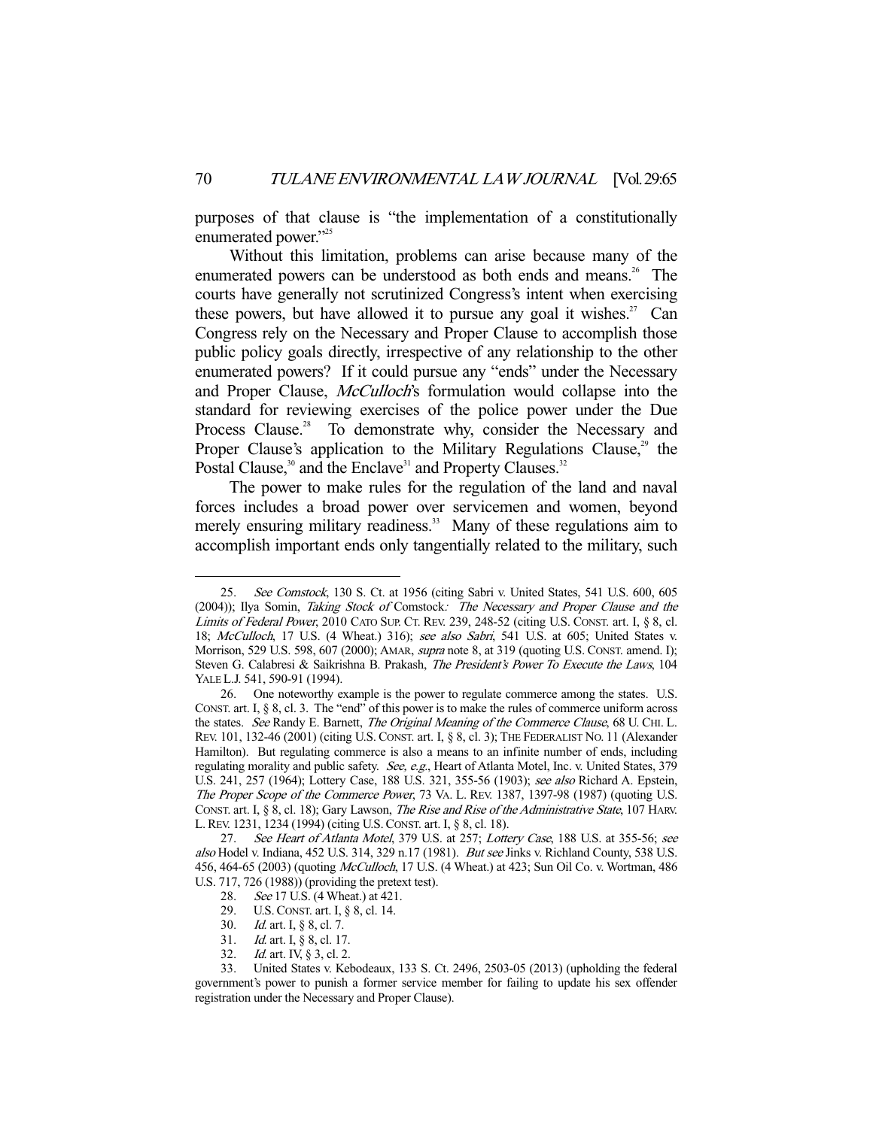purposes of that clause is "the implementation of a constitutionally enumerated power."225

 Without this limitation, problems can arise because many of the enumerated powers can be understood as both ends and means.<sup>26</sup> The courts have generally not scrutinized Congress's intent when exercising these powers, but have allowed it to pursue any goal it wishes.<sup>27</sup> Can Congress rely on the Necessary and Proper Clause to accomplish those public policy goals directly, irrespective of any relationship to the other enumerated powers? If it could pursue any "ends" under the Necessary and Proper Clause, McCulloch's formulation would collapse into the standard for reviewing exercises of the police power under the Due Process Clause.<sup>28</sup> To demonstrate why, consider the Necessary and Proper Clause's application to the Military Regulations Clause, $29$  the Postal Clause,<sup>30</sup> and the Enclave<sup>31</sup> and Property Clauses.<sup>32</sup>

 The power to make rules for the regulation of the land and naval forces includes a broad power over servicemen and women, beyond merely ensuring military readiness.<sup>33</sup> Many of these regulations aim to accomplish important ends only tangentially related to the military, such

See Comstock, 130 S. Ct. at 1956 (citing Sabri v. United States, 541 U.S. 600, 605 (2004)); Ilya Somin, Taking Stock of Comstock: The Necessary and Proper Clause and the Limits of Federal Power, 2010 CATO SUP. CT. REV. 239, 248-52 (citing U.S. CONST. art. I, § 8, cl. 18; McCulloch, 17 U.S. (4 Wheat.) 316); see also Sabri, 541 U.S. at 605; United States v. Morrison, 529 U.S. 598, 607 (2000); AMAR, *supra* note 8, at 319 (quoting U.S. CONST. amend. I); Steven G. Calabresi & Saikrishna B. Prakash, The President's Power To Execute the Laws, 104 YALE L.J. 541, 590-91 (1994).

 <sup>26.</sup> One noteworthy example is the power to regulate commerce among the states. U.S. CONST. art. I, § 8, cl. 3. The "end" of this power is to make the rules of commerce uniform across the states. See Randy E. Barnett, The Original Meaning of the Commerce Clause, 68 U. CHI. L. REV. 101, 132-46 (2001) (citing U.S. CONST. art. I, § 8, cl. 3); THE FEDERALIST NO. 11 (Alexander Hamilton). But regulating commerce is also a means to an infinite number of ends, including regulating morality and public safety. See, e.g., Heart of Atlanta Motel, Inc. v. United States, 379 U.S. 241, 257 (1964); Lottery Case, 188 U.S. 321, 355-56 (1903); see also Richard A. Epstein, The Proper Scope of the Commerce Power, 73 VA. L. REV. 1387, 1397-98 (1987) (quoting U.S. CONST. art. I, § 8, cl. 18); Gary Lawson, The Rise and Rise of the Administrative State, 107 HARV. L.REV. 1231, 1234 (1994) (citing U.S.CONST. art. I, § 8, cl. 18).

<sup>27.</sup> See Heart of Atlanta Motel, 379 U.S. at 257; Lottery Case, 188 U.S. at 355-56; see also Hodel v. Indiana, 452 U.S. 314, 329 n.17 (1981). But see Jinks v. Richland County, 538 U.S. 456, 464-65 (2003) (quoting McCulloch, 17 U.S. (4 Wheat.) at 423; Sun Oil Co. v. Wortman, 486 U.S. 717, 726 (1988)) (providing the pretext test).

 <sup>28.</sup> See 17 U.S. (4 Wheat.) at 421.

 <sup>29.</sup> U.S.CONST. art. I, § 8, cl. 14.

<sup>30.</sup> *Id.* art. I, § 8, cl. 7.

<sup>31.</sup> *Id.* art. I, § 8, cl. 17.

<sup>32.</sup> *Id.* art. IV, § 3, cl. 2.

 <sup>33.</sup> United States v. Kebodeaux, 133 S. Ct. 2496, 2503-05 (2013) (upholding the federal government's power to punish a former service member for failing to update his sex offender registration under the Necessary and Proper Clause).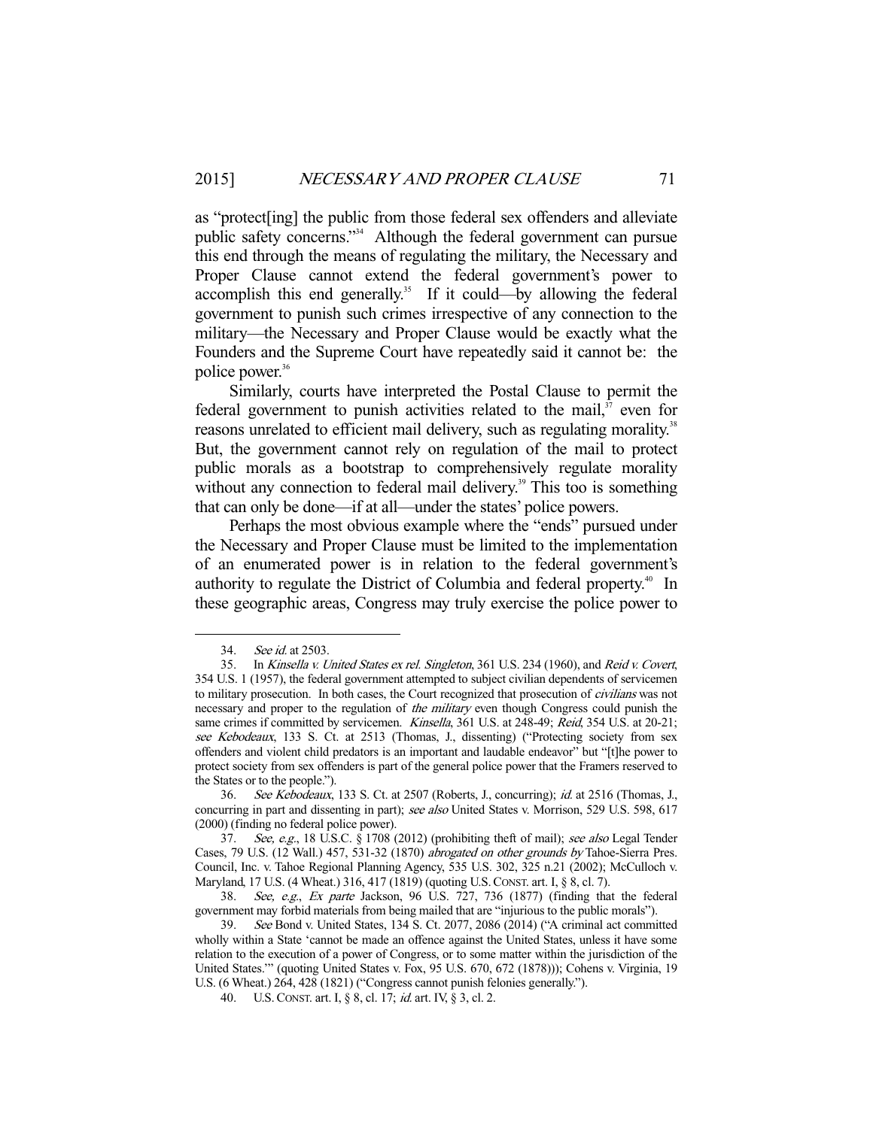as "protect[ing] the public from those federal sex offenders and alleviate public safety concerns."34 Although the federal government can pursue this end through the means of regulating the military, the Necessary and Proper Clause cannot extend the federal government's power to accomplish this end generally.<sup>35</sup> If it could—by allowing the federal government to punish such crimes irrespective of any connection to the military—the Necessary and Proper Clause would be exactly what the Founders and the Supreme Court have repeatedly said it cannot be: the police power.<sup>36</sup>

 Similarly, courts have interpreted the Postal Clause to permit the federal government to punish activities related to the mail, $37$  even for reasons unrelated to efficient mail delivery, such as regulating morality.<sup>38</sup> But, the government cannot rely on regulation of the mail to protect public morals as a bootstrap to comprehensively regulate morality without any connection to federal mail delivery.<sup>39</sup> This too is something that can only be done—if at all—under the states' police powers.

 Perhaps the most obvious example where the "ends" pursued under the Necessary and Proper Clause must be limited to the implementation of an enumerated power is in relation to the federal government's authority to regulate the District of Columbia and federal property.<sup>40</sup> In these geographic areas, Congress may truly exercise the police power to

-

 36. See Kebodeaux, 133 S. Ct. at 2507 (Roberts, J., concurring); id. at 2516 (Thomas, J., concurring in part and dissenting in part); see also United States v. Morrison, 529 U.S. 598, 617 (2000) (finding no federal police power).

 37. See, e.g., 18 U.S.C. § 1708 (2012) (prohibiting theft of mail); see also Legal Tender Cases, 79 U.S. (12 Wall.) 457, 531-32 (1870) abrogated on other grounds by Tahoe-Sierra Pres. Council, Inc. v. Tahoe Regional Planning Agency, 535 U.S. 302, 325 n.21 (2002); McCulloch v. Maryland, 17 U.S. (4 Wheat.) 316, 417 (1819) (quoting U.S.CONST. art. I, § 8, cl. 7).

 38. See, e.g., Ex parte Jackson, 96 U.S. 727, 736 (1877) (finding that the federal government may forbid materials from being mailed that are "injurious to the public morals").

 39. See Bond v. United States, 134 S. Ct. 2077, 2086 (2014) ("A criminal act committed wholly within a State 'cannot be made an offence against the United States, unless it have some relation to the execution of a power of Congress, or to some matter within the jurisdiction of the United States.'" (quoting United States v. Fox, 95 U.S. 670, 672 (1878))); Cohens v. Virginia, 19 U.S. (6 Wheat.) 264, 428 (1821) ("Congress cannot punish felonies generally.").

40. U.S.CONST. art. I, § 8, cl. 17; id. art. IV, § 3, cl. 2.

 <sup>34.</sup> See id. at 2503.

 <sup>35.</sup> In Kinsella v. United States ex rel. Singleton, 361 U.S. 234 (1960), and Reid v. Covert, 354 U.S. 1 (1957), the federal government attempted to subject civilian dependents of servicemen to military prosecution. In both cases, the Court recognized that prosecution of *civilians* was not necessary and proper to the regulation of the military even though Congress could punish the same crimes if committed by servicemen. Kinsella, 361 U.S. at 248-49; Reid, 354 U.S. at 20-21; see Kebodeaux, 133 S. Ct. at 2513 (Thomas, J., dissenting) ("Protecting society from sex offenders and violent child predators is an important and laudable endeavor" but "[t]he power to protect society from sex offenders is part of the general police power that the Framers reserved to the States or to the people.").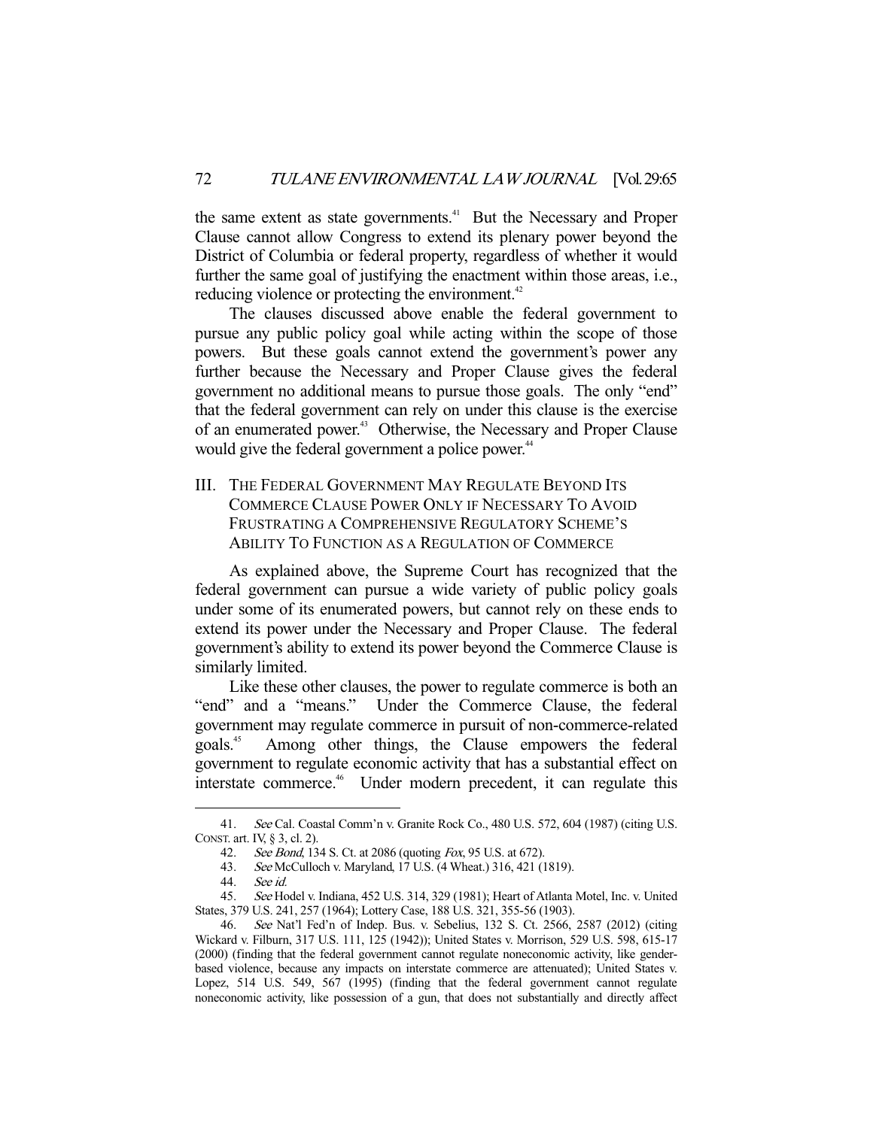the same extent as state governments.<sup>41</sup> But the Necessary and Proper Clause cannot allow Congress to extend its plenary power beyond the District of Columbia or federal property, regardless of whether it would further the same goal of justifying the enactment within those areas, i.e., reducing violence or protecting the environment.<sup>42</sup>

 The clauses discussed above enable the federal government to pursue any public policy goal while acting within the scope of those powers. But these goals cannot extend the government's power any further because the Necessary and Proper Clause gives the federal government no additional means to pursue those goals. The only "end" that the federal government can rely on under this clause is the exercise of an enumerated power.<sup>43</sup> Otherwise, the Necessary and Proper Clause would give the federal government a police power.<sup>44</sup>

III. THE FEDERAL GOVERNMENT MAY REGULATE BEYOND ITS COMMERCE CLAUSE POWER ONLY IF NECESSARY TO AVOID FRUSTRATING A COMPREHENSIVE REGULATORY SCHEME'S ABILITY TO FUNCTION AS A REGULATION OF COMMERCE

 As explained above, the Supreme Court has recognized that the federal government can pursue a wide variety of public policy goals under some of its enumerated powers, but cannot rely on these ends to extend its power under the Necessary and Proper Clause. The federal government's ability to extend its power beyond the Commerce Clause is similarly limited.

 Like these other clauses, the power to regulate commerce is both an "end" and a "means." Under the Commerce Clause, the federal government may regulate commerce in pursuit of non-commerce-related goals.45 Among other things, the Clause empowers the federal government to regulate economic activity that has a substantial effect on interstate commerce.<sup>46</sup> Under modern precedent, it can regulate this

 <sup>41.</sup> See Cal. Coastal Comm'n v. Granite Rock Co., 480 U.S. 572, 604 (1987) (citing U.S. CONST. art. IV, § 3, cl. 2).

 <sup>42.</sup> See Bond, 134 S. Ct. at 2086 (quoting Fox, 95 U.S. at 672).

 <sup>43.</sup> See McCulloch v. Maryland, 17 U.S. (4 Wheat.) 316, 421 (1819).

 <sup>44.</sup> See id.

 <sup>45.</sup> See Hodel v. Indiana, 452 U.S. 314, 329 (1981); Heart of Atlanta Motel, Inc. v. United States, 379 U.S. 241, 257 (1964); Lottery Case, 188 U.S. 321, 355-56 (1903).

 <sup>46.</sup> See Nat'l Fed'n of Indep. Bus. v. Sebelius, 132 S. Ct. 2566, 2587 (2012) (citing Wickard v. Filburn, 317 U.S. 111, 125 (1942)); United States v. Morrison, 529 U.S. 598, 615-17 (2000) (finding that the federal government cannot regulate noneconomic activity, like genderbased violence, because any impacts on interstate commerce are attenuated); United States v. Lopez, 514 U.S. 549, 567 (1995) (finding that the federal government cannot regulate noneconomic activity, like possession of a gun, that does not substantially and directly affect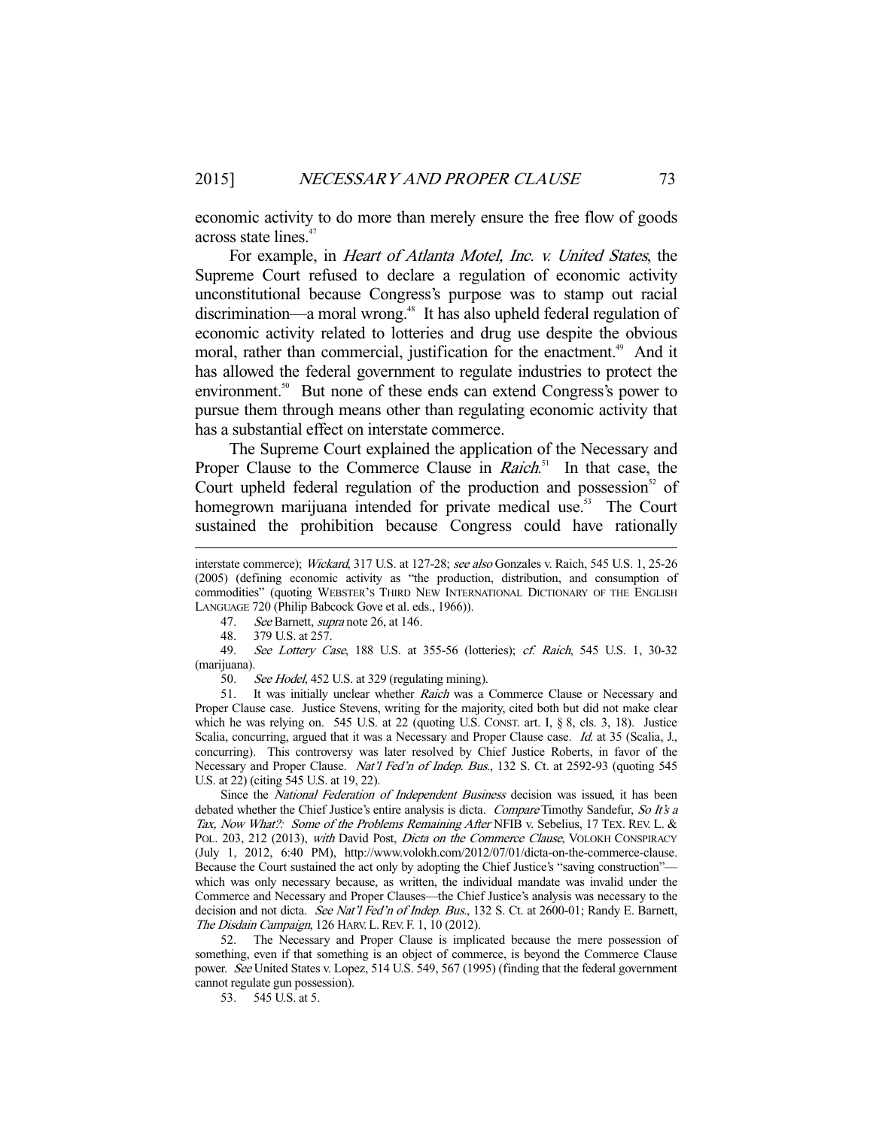economic activity to do more than merely ensure the free flow of goods across state lines.<sup>47</sup>

 For example, in Heart of Atlanta Motel, Inc. v. United States, the Supreme Court refused to declare a regulation of economic activity unconstitutional because Congress's purpose was to stamp out racial discrimination—a moral wrong.<sup>48</sup> It has also upheld federal regulation of economic activity related to lotteries and drug use despite the obvious moral, rather than commercial, justification for the enactment.<sup>49</sup> And it has allowed the federal government to regulate industries to protect the environment.<sup>50</sup> But none of these ends can extend Congress's power to pursue them through means other than regulating economic activity that has a substantial effect on interstate commerce.

 The Supreme Court explained the application of the Necessary and Proper Clause to the Commerce Clause in *Raich*<sup>51</sup> In that case, the Court upheld federal regulation of the production and possession<sup>52</sup> of homegrown marijuana intended for private medical use.<sup>53</sup> The Court sustained the prohibition because Congress could have rationally

47. See Barnett, *supra* note 26, at 146.

48. 379 U.S. at 257.

-

49. See Lottery Case, 188 U.S. at 355-56 (lotteries); cf. Raich, 545 U.S. 1, 30-32 (marijuana).

50. See Hodel, 452 U.S. at 329 (regulating mining).

 51. It was initially unclear whether Raich was a Commerce Clause or Necessary and Proper Clause case. Justice Stevens, writing for the majority, cited both but did not make clear which he was relying on. 545 U.S. at 22 (quoting U.S. CONST. art. I, § 8, cls. 3, 18). Justice Scalia, concurring, argued that it was a Necessary and Proper Clause case. Id. at 35 (Scalia, J., concurring). This controversy was later resolved by Chief Justice Roberts, in favor of the Necessary and Proper Clause. Nat'l Fed'n of Indep. Bus., 132 S. Ct. at 2592-93 (quoting 545 U.S. at 22) (citing 545 U.S. at 19, 22).

 Since the National Federation of Independent Business decision was issued, it has been debated whether the Chief Justice's entire analysis is dicta. Compare Timothy Sandefur, So It's a Tax, Now What?: Some of the Problems Remaining After NFIB v. Sebelius, 17 TEX. REV. L. & POL. 203, 212 (2013), with David Post, Dicta on the Commerce Clause, VOLOKH CONSPIRACY (July 1, 2012, 6:40 PM), http://www.volokh.com/2012/07/01/dicta-on-the-commerce-clause. Because the Court sustained the act only by adopting the Chief Justice's "saving construction" which was only necessary because, as written, the individual mandate was invalid under the Commerce and Necessary and Proper Clauses—the Chief Justice's analysis was necessary to the decision and not dicta. See Nat'l Fed'n of Indep. Bus., 132 S. Ct. at 2600-01; Randy E. Barnett, The Disdain Campaign, 126 HARV. L. REV. F. 1, 10 (2012).

 52. The Necessary and Proper Clause is implicated because the mere possession of something, even if that something is an object of commerce, is beyond the Commerce Clause power. See United States v. Lopez, 514 U.S. 549, 567 (1995) (finding that the federal government cannot regulate gun possession).

53. 545 U.S. at 5.

interstate commerce); Wickard, 317 U.S. at 127-28; see also Gonzales v. Raich, 545 U.S. 1, 25-26 (2005) (defining economic activity as "the production, distribution, and consumption of commodities" (quoting WEBSTER'S THIRD NEW INTERNATIONAL DICTIONARY OF THE ENGLISH LANGUAGE 720 (Philip Babcock Gove et al. eds., 1966)).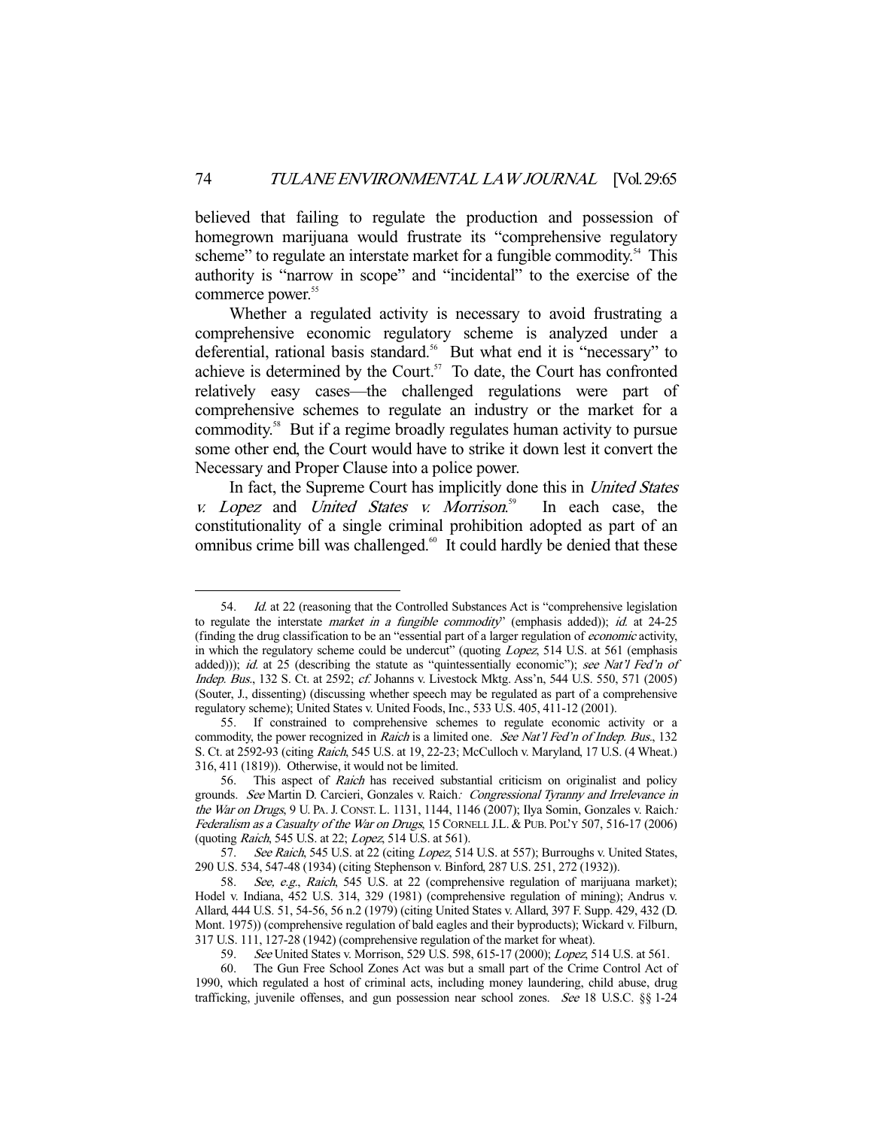believed that failing to regulate the production and possession of homegrown marijuana would frustrate its "comprehensive regulatory scheme" to regulate an interstate market for a fungible commodity.<sup>54</sup> This authority is "narrow in scope" and "incidental" to the exercise of the commerce power.<sup>55</sup>

 Whether a regulated activity is necessary to avoid frustrating a comprehensive economic regulatory scheme is analyzed under a deferential, rational basis standard.<sup>56</sup> But what end it is "necessary" to achieve is determined by the Court. $57$  To date, the Court has confronted relatively easy cases—the challenged regulations were part of comprehensive schemes to regulate an industry or the market for a commodity.58 But if a regime broadly regulates human activity to pursue some other end, the Court would have to strike it down lest it convert the Necessary and Proper Clause into a police power.

 In fact, the Supreme Court has implicitly done this in United States v. Lopez and United States v. Morrison. In each case, the constitutionality of a single criminal prohibition adopted as part of an omnibus crime bill was challenged.<sup>60</sup> It could hardly be denied that these

<sup>54.</sup> *Id.* at 22 (reasoning that the Controlled Substances Act is "comprehensive legislation to regulate the interstate *market in a fungible commodity*" (emphasis added)); *id.* at  $24-25$ (finding the drug classification to be an "essential part of a larger regulation of economic activity, in which the regulatory scheme could be undercut" (quoting Lopez, 514 U.S. at 561 (emphasis added))); id. at 25 (describing the statute as "quintessentially economic"); see Nat'l Fed'n of Indep. Bus., 132 S. Ct. at 2592; cf. Johanns v. Livestock Mktg. Ass'n, 544 U.S. 550, 571 (2005) (Souter, J., dissenting) (discussing whether speech may be regulated as part of a comprehensive regulatory scheme); United States v. United Foods, Inc., 533 U.S. 405, 411-12 (2001).

 <sup>55.</sup> If constrained to comprehensive schemes to regulate economic activity or a commodity, the power recognized in Raich is a limited one. See Nat'l Fed'n of Indep. Bus., 132 S. Ct. at 2592-93 (citing Raich, 545 U.S. at 19, 22-23; McCulloch v. Maryland, 17 U.S. (4 Wheat.) 316, 411 (1819)). Otherwise, it would not be limited.

 <sup>56.</sup> This aspect of Raich has received substantial criticism on originalist and policy grounds. See Martin D. Carcieri, Gonzales v. Raich: Congressional Tyranny and Irrelevance in the War on Drugs, 9 U. PA. J. CONST. L. 1131, 1144, 1146 (2007); Ilya Somin, Gonzales v. Raich: Federalism as a Casualty of the War on Drugs, 15 CORNELL J.L. & PUB. POL'Y 507, 516-17 (2006) (quoting Raich, 545 U.S. at 22; Lopez, 514 U.S. at 561).

<sup>57.</sup> See Raich, 545 U.S. at 22 (citing *Lopez*, 514 U.S. at 557); Burroughs v. United States, 290 U.S. 534, 547-48 (1934) (citing Stephenson v. Binford, 287 U.S. 251, 272 (1932)).

 <sup>58.</sup> See, e.g., Raich, 545 U.S. at 22 (comprehensive regulation of marijuana market); Hodel v. Indiana, 452 U.S. 314, 329 (1981) (comprehensive regulation of mining); Andrus v. Allard, 444 U.S. 51, 54-56, 56 n.2 (1979) (citing United States v. Allard, 397 F. Supp. 429, 432 (D. Mont. 1975)) (comprehensive regulation of bald eagles and their byproducts); Wickard v. Filburn, 317 U.S. 111, 127-28 (1942) (comprehensive regulation of the market for wheat).

<sup>59.</sup> See United States v. Morrison, 529 U.S. 598, 615-17 (2000); Lopez, 514 U.S. at 561.

 <sup>60.</sup> The Gun Free School Zones Act was but a small part of the Crime Control Act of 1990, which regulated a host of criminal acts, including money laundering, child abuse, drug trafficking, juvenile offenses, and gun possession near school zones. See 18 U.S.C. §§ 1-24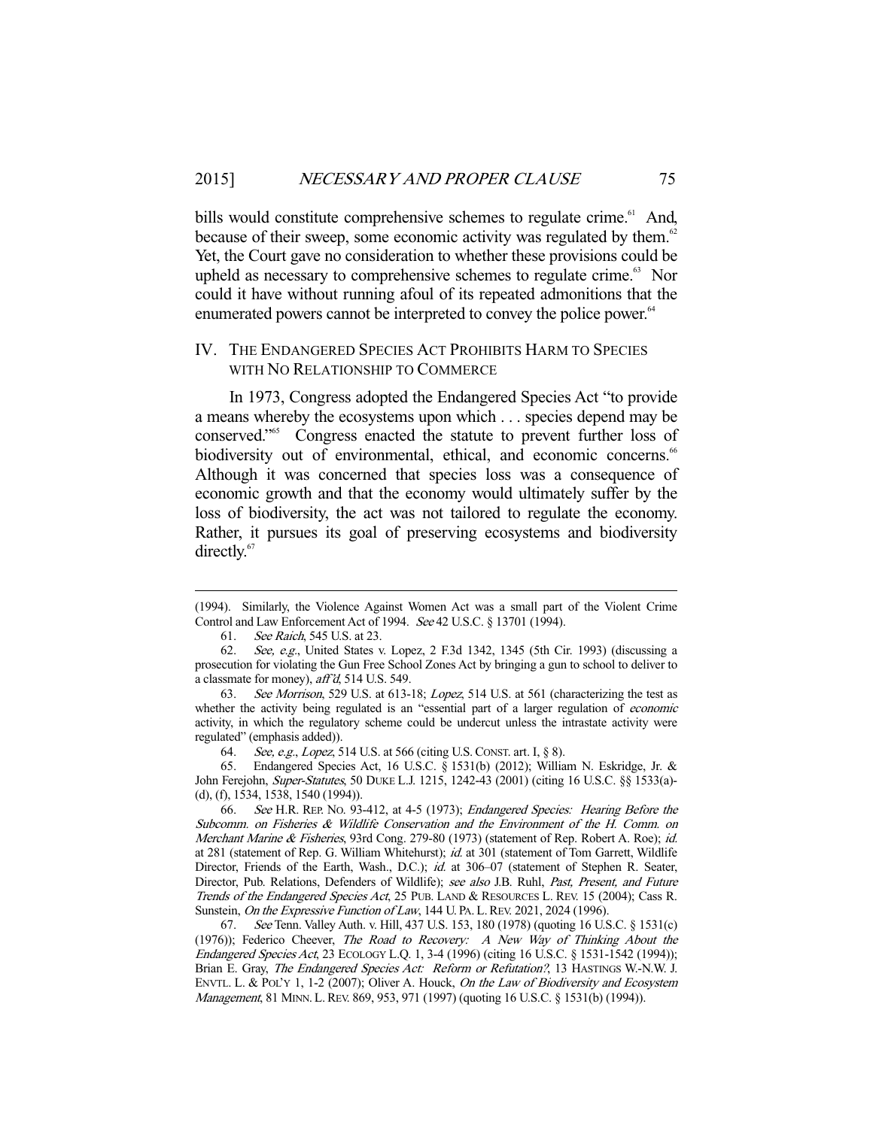bills would constitute comprehensive schemes to regulate crime.<sup>61</sup> And, because of their sweep, some economic activity was regulated by them.<sup>62</sup> Yet, the Court gave no consideration to whether these provisions could be upheld as necessary to comprehensive schemes to regulate crime.<sup>63</sup> Nor could it have without running afoul of its repeated admonitions that the enumerated powers cannot be interpreted to convey the police power.<sup>64</sup>

#### IV. THE ENDANGERED SPECIES ACT PROHIBITS HARM TO SPECIES WITH NO RELATIONSHIP TO COMMERCE

 In 1973, Congress adopted the Endangered Species Act "to provide a means whereby the ecosystems upon which . . . species depend may be conserved."65 Congress enacted the statute to prevent further loss of biodiversity out of environmental, ethical, and economic concerns.<sup>66</sup> Although it was concerned that species loss was a consequence of economic growth and that the economy would ultimately suffer by the loss of biodiversity, the act was not tailored to regulate the economy. Rather, it pursues its goal of preserving ecosystems and biodiversity directly.<sup>67</sup>

<sup>(1994).</sup> Similarly, the Violence Against Women Act was a small part of the Violent Crime Control and Law Enforcement Act of 1994. See 42 U.S.C. § 13701 (1994).

 <sup>61.</sup> See Raich, 545 U.S. at 23.

 <sup>62.</sup> See, e.g., United States v. Lopez, 2 F.3d 1342, 1345 (5th Cir. 1993) (discussing a prosecution for violating the Gun Free School Zones Act by bringing a gun to school to deliver to a classmate for money), aff'd, 514 U.S. 549.

 <sup>63.</sup> See Morrison, 529 U.S. at 613-18; Lopez, 514 U.S. at 561 (characterizing the test as whether the activity being regulated is an "essential part of a larger regulation of *economic* activity, in which the regulatory scheme could be undercut unless the intrastate activity were regulated" (emphasis added)).

 <sup>64.</sup> See, e.g., Lopez, 514 U.S. at 566 (citing U.S.CONST. art. I, § 8).

 <sup>65.</sup> Endangered Species Act, 16 U.S.C. § 1531(b) (2012); William N. Eskridge, Jr. & John Ferejohn, Super-Statutes, 50 DUKE L.J. 1215, 1242-43 (2001) (citing 16 U.S.C. §§ 1533(a)- (d), (f), 1534, 1538, 1540 (1994)).

 <sup>66.</sup> See H.R. REP. NO. 93-412, at 4-5 (1973); Endangered Species: Hearing Before the Subcomm. on Fisheries & Wildlife Conservation and the Environment of the H. Comm. on Merchant Marine & Fisheries, 93rd Cong. 279-80 (1973) (statement of Rep. Robert A. Roe); id. at 281 (statement of Rep. G. William Whitehurst); id. at 301 (statement of Tom Garrett, Wildlife Director, Friends of the Earth, Wash., D.C.); id. at 306-07 (statement of Stephen R. Seater, Director, Pub. Relations, Defenders of Wildlife); see also J.B. Ruhl, Past, Present, and Future Trends of the Endangered Species Act, 25 PUB. LAND & RESOURCES L. REV. 15 (2004); Cass R. Sunstein, On the Expressive Function of Law, 144 U. PA. L. REV. 2021, 2024 (1996).

 <sup>67.</sup> See Tenn. Valley Auth. v. Hill, 437 U.S. 153, 180 (1978) (quoting 16 U.S.C. § 1531(c) (1976)); Federico Cheever, The Road to Recovery: A New Way of Thinking About the Endangered Species Act, 23 ECOLOGY L.Q. 1, 3-4 (1996) (citing 16 U.S.C. § 1531-1542 (1994)); Brian E. Gray, The Endangered Species Act: Reform or Refutation?, 13 HASTINGS W.-N.W. J. ENVTL. L. & POL'Y 1, 1-2 (2007); Oliver A. Houck, On the Law of Biodiversity and Ecosystem Management, 81 MINN. L.REV. 869, 953, 971 (1997) (quoting 16 U.S.C. § 1531(b) (1994)).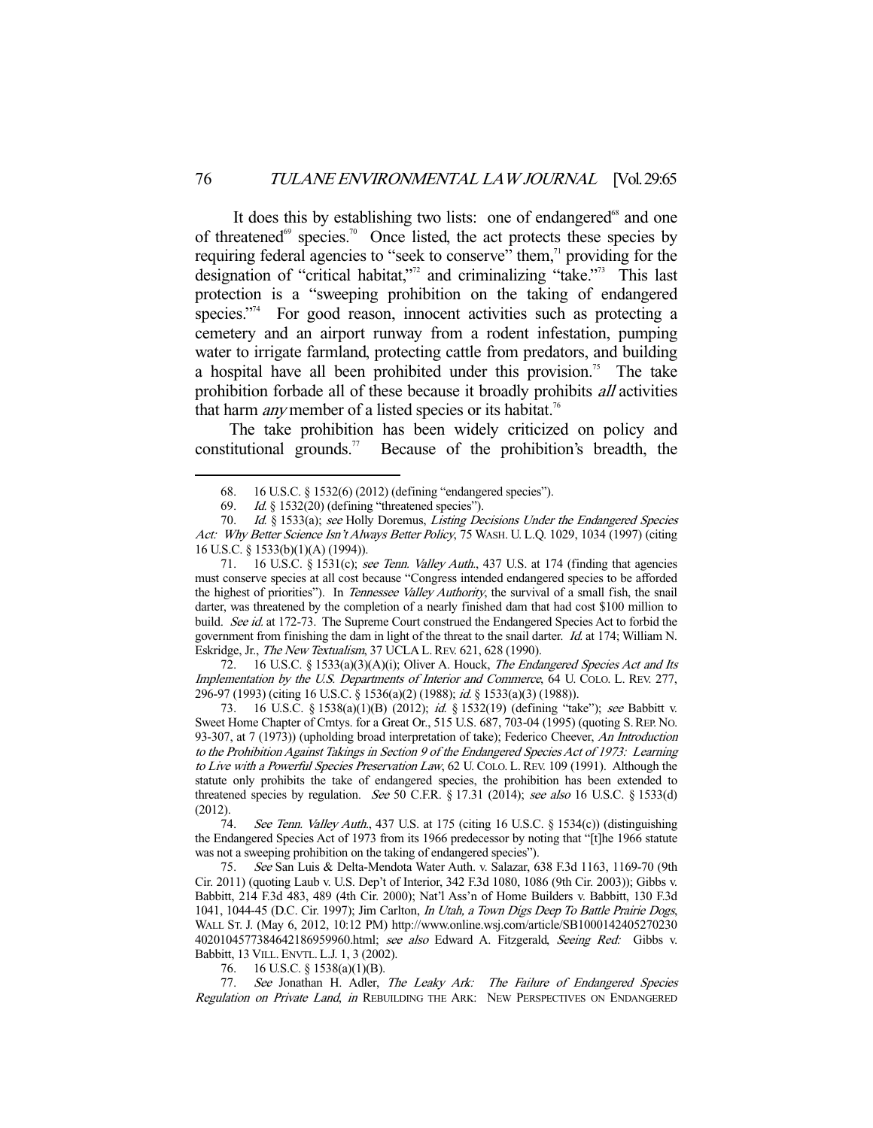It does this by establishing two lists: one of endangered $68$  and one of threatened<sup>69</sup> species.<sup>70</sup> Once listed, the act protects these species by requiring federal agencies to "seek to conserve" them,<sup>11</sup> providing for the designation of "critical habitat,"<sup>72</sup> and criminalizing "take."<sup>73</sup> This last protection is a "sweeping prohibition on the taking of endangered species."<sup>74</sup> For good reason, innocent activities such as protecting a cemetery and an airport runway from a rodent infestation, pumping water to irrigate farmland, protecting cattle from predators, and building a hospital have all been prohibited under this provision.<sup>75</sup> The take prohibition forbade all of these because it broadly prohibits all activities that harm *any* member of a listed species or its habitat.<sup>76</sup>

 The take prohibition has been widely criticized on policy and constitutional grounds.<sup>77</sup> Because of the prohibition's breadth, the

-

72. 16 U.S.C. § 1533(a)(3)(A)(i); Oliver A. Houck, The Endangered Species Act and Its Implementation by the U.S. Departments of Interior and Commerce, 64 U. COLO. L. REV. 277, 296-97 (1993) (citing 16 U.S.C. § 1536(a)(2) (1988); id. § 1533(a)(3) (1988)).

73. 16 U.S.C. § 1538(a)(1)(B) (2012); id. § 1532(19) (defining "take"); see Babbitt v. Sweet Home Chapter of Cmtys. for a Great Or., 515 U.S. 687, 703-04 (1995) (quoting S.REP. NO. 93-307, at 7 (1973)) (upholding broad interpretation of take); Federico Cheever, An Introduction to the Prohibition Against Takings in Section 9 of the Endangered Species Act of 1973: Learning to Live with a Powerful Species Preservation Law, 62 U. COLO. L. REV. 109 (1991). Although the statute only prohibits the take of endangered species, the prohibition has been extended to threatened species by regulation. See 50 C.F.R. § 17.31 (2014); see also 16 U.S.C. § 1533(d) (2012).

74. See Tenn. Valley Auth., 437 U.S. at 175 (citing 16 U.S.C.  $\frac{1534(c)}{1534(c)}$ ) (distinguishing the Endangered Species Act of 1973 from its 1966 predecessor by noting that "[t]he 1966 statute was not a sweeping prohibition on the taking of endangered species").

 75. See San Luis & Delta-Mendota Water Auth. v. Salazar, 638 F.3d 1163, 1169-70 (9th Cir. 2011) (quoting Laub v. U.S. Dep't of Interior, 342 F.3d 1080, 1086 (9th Cir. 2003)); Gibbs v. Babbitt, 214 F.3d 483, 489 (4th Cir. 2000); Nat'l Ass'n of Home Builders v. Babbitt, 130 F.3d 1041, 1044-45 (D.C. Cir. 1997); Jim Carlton, In Utah, a Town Digs Deep To Battle Prairie Dogs, WALL ST. J. (May 6, 2012, 10:12 PM) http://www.online.wsj.com/article/SB1000142405270230 4020104577384642186959960.html; see also Edward A. Fitzgerald, Seeing Red: Gibbs v. Babbitt, 13 VILL. ENVTL. L.J. 1, 3 (2002).

76. 16 U.S.C. § 1538(a)(1)(B).

77. See Jonathan H. Adler, The Leaky Ark: The Failure of Endangered Species Regulation on Private Land, in REBUILDING THE ARK: NEW PERSPECTIVES ON ENDANGERED

 <sup>68. 16</sup> U.S.C. § 1532(6) (2012) (defining "endangered species").

<sup>69.</sup> Id.  $§$  1532(20) (defining "threatened species").

<sup>70.</sup> Id. § 1533(a); see Holly Doremus, Listing Decisions Under the Endangered Species Act: Why Better Science Isn't Always Better Policy, 75 WASH. U. L.Q. 1029, 1034 (1997) (citing 16 U.S.C. § 1533(b)(1)(A) (1994)).

<sup>71. 16</sup> U.S.C. § 1531(c); see Tenn. Valley Auth., 437 U.S. at 174 (finding that agencies must conserve species at all cost because "Congress intended endangered species to be afforded the highest of priorities"). In Tennessee Valley Authority, the survival of a small fish, the snail darter, was threatened by the completion of a nearly finished dam that had cost \$100 million to build. See id. at 172-73. The Supreme Court construed the Endangered Species Act to forbid the government from finishing the dam in light of the threat to the snail darter. Id. at 174; William N. Eskridge, Jr., The New Textualism, 37 UCLA L. REV. 621, 628 (1990).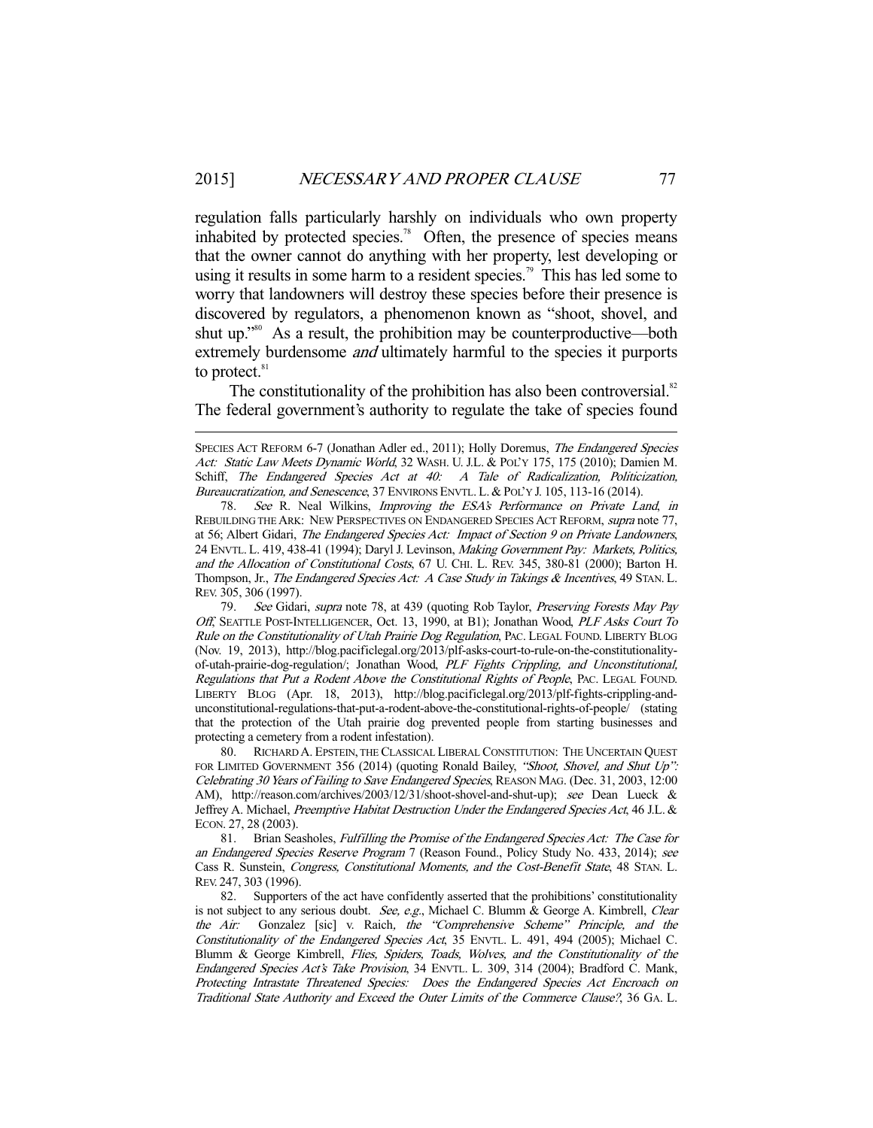-

regulation falls particularly harshly on individuals who own property inhabited by protected species.<sup>78</sup> Often, the presence of species means that the owner cannot do anything with her property, lest developing or using it results in some harm to a resident species.<sup>79</sup> This has led some to worry that landowners will destroy these species before their presence is discovered by regulators, a phenomenon known as "shoot, shovel, and shut up."<sup>80</sup> As a result, the prohibition may be counterproductive—both extremely burdensome *and* ultimately harmful to the species it purports to protect.<sup>81</sup>

The constitutionality of the prohibition has also been controversial. $82$ The federal government's authority to regulate the take of species found

79. See Gidari, supra note 78, at 439 (quoting Rob Taylor, Preserving Forests May Pay Off, SEATTLE POST-INTELLIGENCER, Oct. 13, 1990, at B1); Jonathan Wood, PLF Asks Court To Rule on the Constitutionality of Utah Prairie Dog Regulation, PAC. LEGAL FOUND. LIBERTY BLOG (Nov. 19, 2013), http://blog.pacificlegal.org/2013/plf-asks-court-to-rule-on-the-constitutionalityof-utah-prairie-dog-regulation/; Jonathan Wood, PLF Fights Crippling, and Unconstitutional, Regulations that Put a Rodent Above the Constitutional Rights of People, PAC. LEGAL FOUND. LIBERTY BLOG (Apr. 18, 2013), http://blog.pacificlegal.org/2013/plf-fights-crippling-andunconstitutional-regulations-that-put-a-rodent-above-the-constitutional-rights-of-people/ (stating that the protection of the Utah prairie dog prevented people from starting businesses and protecting a cemetery from a rodent infestation).

 80. RICHARD A. EPSTEIN, THE CLASSICAL LIBERAL CONSTITUTION: THE UNCERTAIN QUEST FOR LIMITED GOVERNMENT 356 (2014) (quoting Ronald Bailey, "Shoot, Shovel, and Shut Up": Celebrating 30 Years of Failing to Save Endangered Species, REASON MAG. (Dec. 31, 2003, 12:00 AM), http://reason.com/archives/2003/12/31/shoot-shovel-and-shut-up); see Dean Lueck & Jeffrey A. Michael, Preemptive Habitat Destruction Under the Endangered Species Act, 46 J.L. & ECON. 27, 28 (2003).

81. Brian Seasholes, Fulfilling the Promise of the Endangered Species Act: The Case for an Endangered Species Reserve Program 7 (Reason Found., Policy Study No. 433, 2014); see Cass R. Sunstein, Congress, Constitutional Moments, and the Cost-Benefit State, 48 STAN. L. REV. 247, 303 (1996).

 82. Supporters of the act have confidently asserted that the prohibitions' constitutionality is not subject to any serious doubt. See, e.g., Michael C. Blumm & George A. Kimbrell, Clear the Air: Gonzalez [sic] v. Raich, the "Comprehensive Scheme" Principle, and the Constitutionality of the Endangered Species Act, 35 ENVTL. L. 491, 494 (2005); Michael C. Blumm & George Kimbrell, Flies, Spiders, Toads, Wolves, and the Constitutionality of the Endangered Species Act's Take Provision, 34 ENVTL. L. 309, 314 (2004); Bradford C. Mank, Protecting Intrastate Threatened Species: Does the Endangered Species Act Encroach on Traditional State Authority and Exceed the Outer Limits of the Commerce Clause?, 36 GA. L.

SPECIES ACT REFORM 6-7 (Jonathan Adler ed., 2011); Holly Doremus, The Endangered Species Act: Static Law Meets Dynamic World, 32 WASH. U. J.L. & POL'Y 175, 175 (2010); Damien M. Schiff, The Endangered Species Act at 40: A Tale of Radicalization, Politicization, Bureaucratization, and Senescence, 37 ENVIRONS ENVTL. L. & POL'Y J. 105, 113-16 (2014).

<sup>78.</sup> See R. Neal Wilkins, Improving the ESA's Performance on Private Land, in REBUILDING THE ARK: NEW PERSPECTIVES ON ENDANGERED SPECIES ACT REFORM, supra note 77, at 56; Albert Gidari, The Endangered Species Act: Impact of Section 9 on Private Landowners, 24 ENVTL. L. 419, 438-41 (1994); Daryl J. Levinson, Making Government Pay: Markets, Politics, and the Allocation of Constitutional Costs, 67 U. CHI. L. REV. 345, 380-81 (2000); Barton H. Thompson, Jr., The Endangered Species Act: A Case Study in Takings & Incentives, 49 STAN. L. REV. 305, 306 (1997).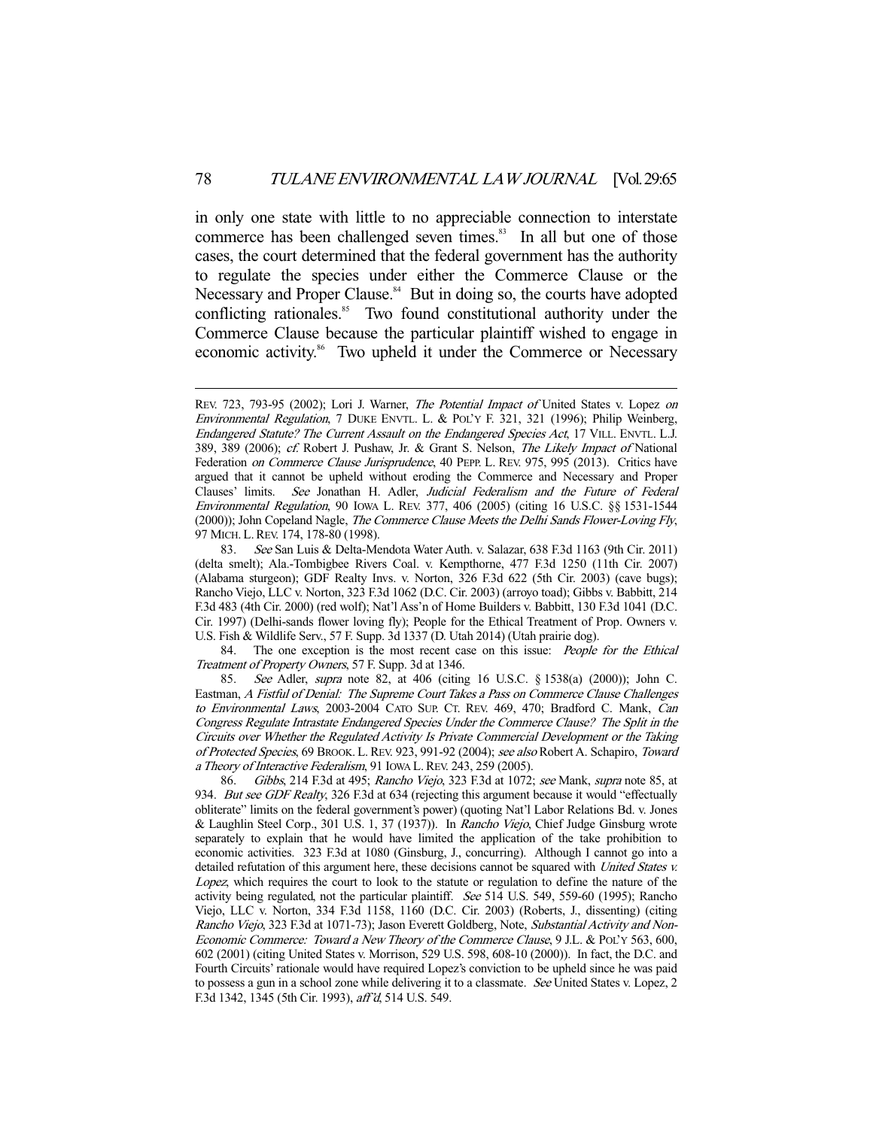in only one state with little to no appreciable connection to interstate commerce has been challenged seven times.<sup>83</sup> In all but one of those cases, the court determined that the federal government has the authority to regulate the species under either the Commerce Clause or the Necessary and Proper Clause.<sup>84</sup> But in doing so, the courts have adopted conflicting rationales.<sup>85</sup> Two found constitutional authority under the Commerce Clause because the particular plaintiff wished to engage in economic activity.<sup>86</sup> Two upheld it under the Commerce or Necessary

84. The one exception is the most recent case on this issue: *People for the Ethical* Treatment of Property Owners, 57 F. Supp. 3d at 1346.

 85. See Adler, supra note 82, at 406 (citing 16 U.S.C. § 1538(a) (2000)); John C. Eastman, A Fistful of Denial: The Supreme Court Takes a Pass on Commerce Clause Challenges to Environmental Laws, 2003-2004 CATO SUP. CT. REV. 469, 470; Bradford C. Mank, Can Congress Regulate Intrastate Endangered Species Under the Commerce Clause? The Split in the Circuits over Whether the Regulated Activity Is Private Commercial Development or the Taking of Protected Species, 69 BROOK. L.REV. 923, 991-92 (2004); see also Robert A. Schapiro, Toward a Theory of Interactive Federalism, 91 IOWA L.REV. 243, 259 (2005).

 86. Gibbs, 214 F.3d at 495; Rancho Viejo, 323 F.3d at 1072; see Mank, supra note 85, at 934. But see GDF Realty, 326 F.3d at 634 (rejecting this argument because it would "effectually obliterate" limits on the federal government's power) (quoting Nat'l Labor Relations Bd. v. Jones & Laughlin Steel Corp., 301 U.S. 1, 37 (1937)). In Rancho Viejo, Chief Judge Ginsburg wrote separately to explain that he would have limited the application of the take prohibition to economic activities. 323 F.3d at 1080 (Ginsburg, J., concurring). Although I cannot go into a detailed refutation of this argument here, these decisions cannot be squared with *United States v.* Lopez, which requires the court to look to the statute or regulation to define the nature of the activity being regulated, not the particular plaintiff. See 514 U.S. 549, 559-60 (1995); Rancho Viejo, LLC v. Norton, 334 F.3d 1158, 1160 (D.C. Cir. 2003) (Roberts, J., dissenting) (citing Rancho Viejo, 323 F.3d at 1071-73); Jason Everett Goldberg, Note, Substantial Activity and Non-Economic Commerce: Toward a New Theory of the Commerce Clause, 9 J.L. & POL'Y 563, 600, 602 (2001) (citing United States v. Morrison, 529 U.S. 598, 608-10 (2000)). In fact, the D.C. and Fourth Circuits' rationale would have required Lopez's conviction to be upheld since he was paid to possess a gun in a school zone while delivering it to a classmate. See United States v. Lopez, 2 F.3d 1342, 1345 (5th Cir. 1993), aff'd, 514 U.S. 549.

REV. 723, 793-95 (2002); Lori J. Warner, The Potential Impact of United States v. Lopez on Environmental Regulation, 7 DUKE ENVTL. L. & POL'Y F. 321, 321 (1996); Philip Weinberg, Endangered Statute? The Current Assault on the Endangered Species Act, 17 VILL. ENVTL. L.J. 389, 389 (2006); cf. Robert J. Pushaw, Jr. & Grant S. Nelson, The Likely Impact of National Federation on Commerce Clause Jurisprudence, 40 PEPP. L. REV. 975, 995 (2013). Critics have argued that it cannot be upheld without eroding the Commerce and Necessary and Proper Clauses' limits. See Jonathan H. Adler, Judicial Federalism and the Future of Federal Environmental Regulation, 90 IOWA L. REV. 377, 406 (2005) (citing 16 U.S.C. §§ 1531-1544 (2000)); John Copeland Nagle, The Commerce Clause Meets the Delhi Sands Flower-Loving Fly, 97 MICH. L.REV. 174, 178-80 (1998).

<sup>83.</sup> See San Luis & Delta-Mendota Water Auth. v. Salazar, 638 F.3d 1163 (9th Cir. 2011) (delta smelt); Ala.-Tombigbee Rivers Coal. v. Kempthorne, 477 F.3d 1250 (11th Cir. 2007) (Alabama sturgeon); GDF Realty Invs. v. Norton, 326 F.3d 622 (5th Cir. 2003) (cave bugs); Rancho Viejo, LLC v. Norton, 323 F.3d 1062 (D.C. Cir. 2003) (arroyo toad); Gibbs v. Babbitt, 214 F.3d 483 (4th Cir. 2000) (red wolf); Nat'l Ass'n of Home Builders v. Babbitt, 130 F.3d 1041 (D.C. Cir. 1997) (Delhi-sands flower loving fly); People for the Ethical Treatment of Prop. Owners v. U.S. Fish & Wildlife Serv., 57 F. Supp. 3d 1337 (D. Utah 2014) (Utah prairie dog).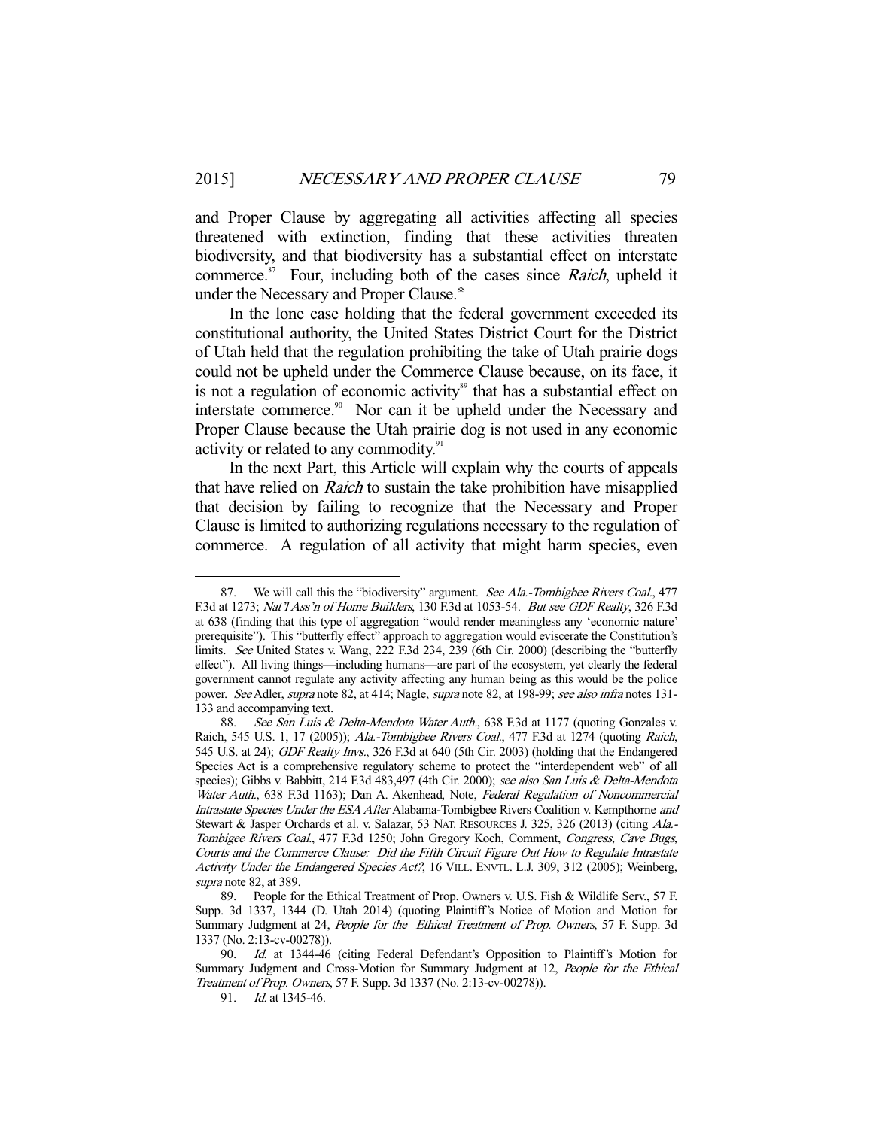and Proper Clause by aggregating all activities affecting all species threatened with extinction, finding that these activities threaten biodiversity, and that biodiversity has a substantial effect on interstate commerce. $87$  Four, including both of the cases since *Raich*, upheld it under the Necessary and Proper Clause.<sup>88</sup>

 In the lone case holding that the federal government exceeded its constitutional authority, the United States District Court for the District of Utah held that the regulation prohibiting the take of Utah prairie dogs could not be upheld under the Commerce Clause because, on its face, it is not a regulation of economic activity<sup>89</sup> that has a substantial effect on interstate commerce.<sup>90</sup> Nor can it be upheld under the Necessary and Proper Clause because the Utah prairie dog is not used in any economic activity or related to any commodity.<sup>91</sup>

 In the next Part, this Article will explain why the courts of appeals that have relied on Raich to sustain the take prohibition have misapplied that decision by failing to recognize that the Necessary and Proper Clause is limited to authorizing regulations necessary to the regulation of commerce. A regulation of all activity that might harm species, even

<sup>87.</sup> We will call this the "biodiversity" argument. See Ala.-Tombigbee Rivers Coal., 477 F.3d at 1273; Nat'l Ass'n of Home Builders, 130 F.3d at 1053-54. But see GDF Realty, 326 F.3d at 638 (finding that this type of aggregation "would render meaningless any 'economic nature' prerequisite"). This "butterfly effect" approach to aggregation would eviscerate the Constitution's limits. See United States v. Wang, 222 F.3d 234, 239 (6th Cir. 2000) (describing the "butterfly effect"). All living things—including humans—are part of the ecosystem, yet clearly the federal government cannot regulate any activity affecting any human being as this would be the police power. See Adler, supra note 82, at 414; Nagle, supra note 82, at 198-99; see also infra notes 131-133 and accompanying text.

<sup>88.</sup> See San Luis & Delta-Mendota Water Auth., 638 F.3d at 1177 (quoting Gonzales v. Raich, 545 U.S. 1, 17 (2005)); Ala.-Tombigbee Rivers Coal., 477 F.3d at 1274 (quoting Raich, 545 U.S. at 24); GDF Realty Invs., 326 F.3d at 640 (5th Cir. 2003) (holding that the Endangered Species Act is a comprehensive regulatory scheme to protect the "interdependent web" of all species); Gibbs v. Babbitt, 214 F.3d 483,497 (4th Cir. 2000); see also San Luis & Delta-Mendota Water Auth., 638 F.3d 1163); Dan A. Akenhead, Note, Federal Regulation of Noncommercial Intrastate Species Under the ESA After Alabama-Tombigbee Rivers Coalition v. Kempthorne and Stewart & Jasper Orchards et al. v. Salazar, 53 NAT. RESOURCES J. 325, 326 (2013) (citing Ala.-Tombigee Rivers Coal., 477 F.3d 1250; John Gregory Koch, Comment, Congress, Cave Bugs, Courts and the Commerce Clause: Did the Fifth Circuit Figure Out How to Regulate Intrastate Activity Under the Endangered Species Act?, 16 VILL. ENVTL. L.J. 309, 312 (2005); Weinberg, supra note 82, at 389.

 <sup>89.</sup> People for the Ethical Treatment of Prop. Owners v. U.S. Fish & Wildlife Serv., 57 F. Supp. 3d 1337, 1344 (D. Utah 2014) (quoting Plaintiff's Notice of Motion and Motion for Summary Judgment at 24, People for the Ethical Treatment of Prop. Owners, 57 F. Supp. 3d 1337 (No. 2:13-cv-00278)).

<sup>90.</sup> Id. at 1344-46 (citing Federal Defendant's Opposition to Plaintiff's Motion for Summary Judgment and Cross-Motion for Summary Judgment at 12, People for the Ethical Treatment of Prop. Owners, 57 F. Supp. 3d 1337 (No. 2:13-cv-00278)).

 <sup>91.</sup> Id. at 1345-46.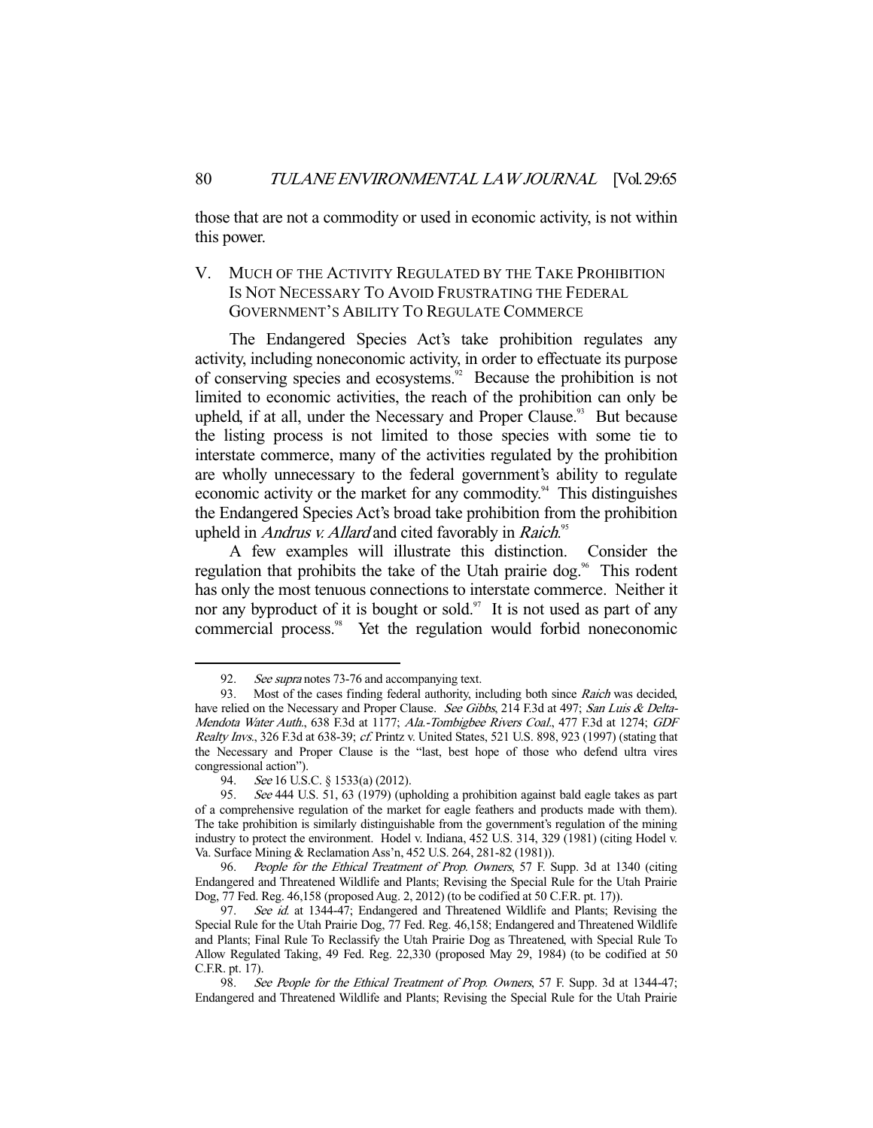those that are not a commodity or used in economic activity, is not within this power.

## V. MUCH OF THE ACTIVITY REGULATED BY THE TAKE PROHIBITION IS NOT NECESSARY TO AVOID FRUSTRATING THE FEDERAL GOVERNMENT'S ABILITY TO REGULATE COMMERCE

 The Endangered Species Act's take prohibition regulates any activity, including noneconomic activity, in order to effectuate its purpose of conserving species and ecosystems.<sup>92</sup> Because the prohibition is not limited to economic activities, the reach of the prohibition can only be upheld, if at all, under the Necessary and Proper Clause.<sup>93</sup> But because the listing process is not limited to those species with some tie to interstate commerce, many of the activities regulated by the prohibition are wholly unnecessary to the federal government's ability to regulate economic activity or the market for any commodity.<sup>94</sup> This distinguishes the Endangered Species Act's broad take prohibition from the prohibition upheld in *Andrus v. Allard* and cited favorably in *Raich*.<sup>95</sup>

 A few examples will illustrate this distinction. Consider the regulation that prohibits the take of the Utah prairie dog. $\%$  This rodent has only the most tenuous connections to interstate commerce. Neither it nor any byproduct of it is bought or sold.<sup>97</sup> It is not used as part of any commercial process.<sup>98</sup> Yet the regulation would forbid noneconomic

<sup>92.</sup> See supra notes 73-76 and accompanying text.

<sup>93.</sup> Most of the cases finding federal authority, including both since Raich was decided, have relied on the Necessary and Proper Clause. See Gibbs, 214 F.3d at 497; San Luis & Delta-Mendota Water Auth., 638 F.3d at 1177; Ala.-Tombigbee Rivers Coal., 477 F.3d at 1274; GDF Realty Invs., 326 F.3d at 638-39; cf. Printz v. United States, 521 U.S. 898, 923 (1997) (stating that the Necessary and Proper Clause is the "last, best hope of those who defend ultra vires congressional action").

 <sup>94.</sup> See 16 U.S.C. § 1533(a) (2012).

<sup>95.</sup> See 444 U.S. 51, 63 (1979) (upholding a prohibition against bald eagle takes as part of a comprehensive regulation of the market for eagle feathers and products made with them). The take prohibition is similarly distinguishable from the government's regulation of the mining industry to protect the environment. Hodel v. Indiana, 452 U.S. 314, 329 (1981) (citing Hodel v. Va. Surface Mining & Reclamation Ass'n, 452 U.S. 264, 281-82 (1981)).

 <sup>96.</sup> People for the Ethical Treatment of Prop. Owners, 57 F. Supp. 3d at 1340 (citing Endangered and Threatened Wildlife and Plants; Revising the Special Rule for the Utah Prairie Dog, 77 Fed. Reg. 46,158 (proposed Aug. 2, 2012) (to be codified at 50 C.F.R. pt. 17)).

<sup>97.</sup> See id. at 1344-47; Endangered and Threatened Wildlife and Plants; Revising the Special Rule for the Utah Prairie Dog, 77 Fed. Reg. 46,158; Endangered and Threatened Wildlife and Plants; Final Rule To Reclassify the Utah Prairie Dog as Threatened, with Special Rule To Allow Regulated Taking, 49 Fed. Reg. 22,330 (proposed May 29, 1984) (to be codified at 50 C.F.R. pt. 17).

<sup>98.</sup> See People for the Ethical Treatment of Prop. Owners, 57 F. Supp. 3d at 1344-47; Endangered and Threatened Wildlife and Plants; Revising the Special Rule for the Utah Prairie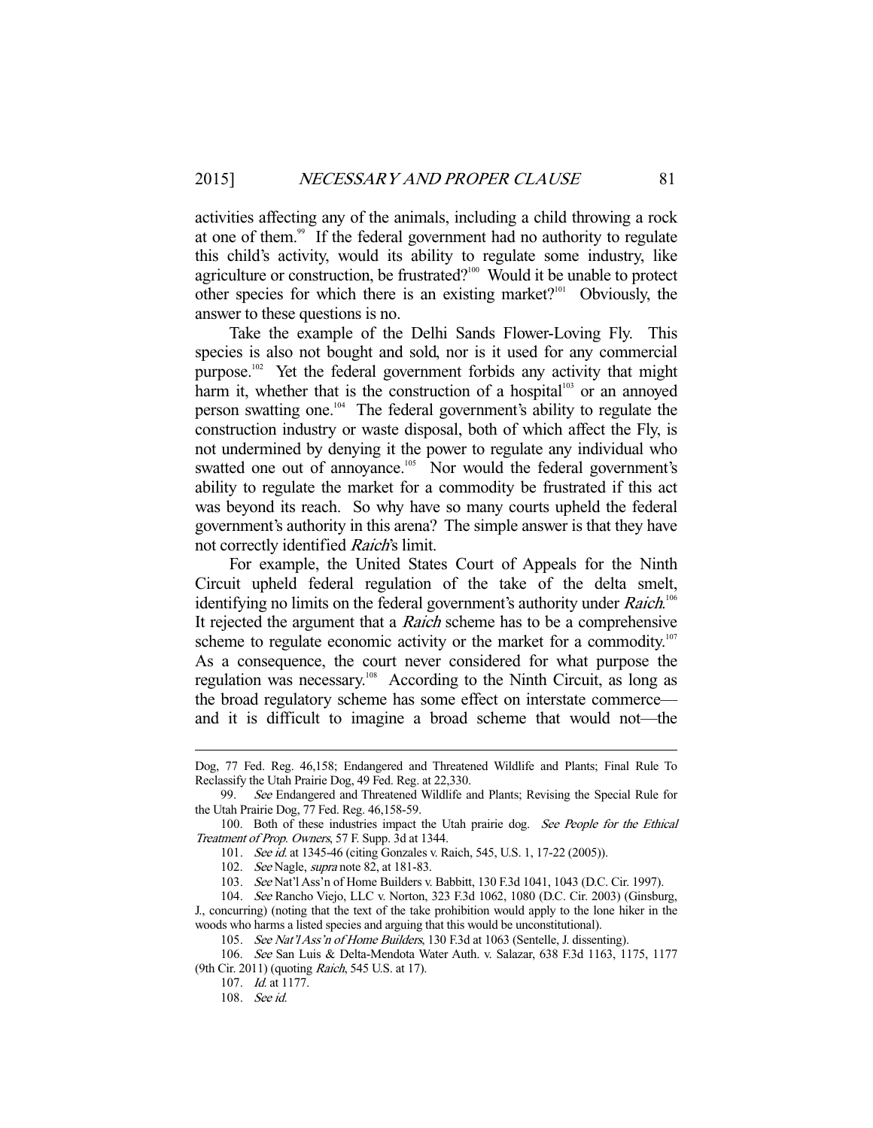activities affecting any of the animals, including a child throwing a rock at one of them.<sup>99</sup> If the federal government had no authority to regulate this child's activity, would its ability to regulate some industry, like agriculture or construction, be frustrated?<sup>100</sup> Would it be unable to protect other species for which there is an existing market?<sup>101</sup> Obviously, the answer to these questions is no.

 Take the example of the Delhi Sands Flower-Loving Fly. This species is also not bought and sold, nor is it used for any commercial purpose.<sup>102</sup> Yet the federal government forbids any activity that might harm it, whether that is the construction of a hospital<sup>103</sup> or an annoyed person swatting one.104 The federal government's ability to regulate the construction industry or waste disposal, both of which affect the Fly, is not undermined by denying it the power to regulate any individual who swatted one out of annoyance.<sup>105</sup> Nor would the federal government's ability to regulate the market for a commodity be frustrated if this act was beyond its reach. So why have so many courts upheld the federal government's authority in this arena? The simple answer is that they have not correctly identified *Raich's* limit.

 For example, the United States Court of Appeals for the Ninth Circuit upheld federal regulation of the take of the delta smelt, identifying no limits on the federal government's authority under Raich.<sup>106</sup> It rejected the argument that a *Raich* scheme has to be a comprehensive scheme to regulate economic activity or the market for a commodity.<sup>107</sup> As a consequence, the court never considered for what purpose the regulation was necessary.<sup>108</sup> According to the Ninth Circuit, as long as the broad regulatory scheme has some effect on interstate commerce and it is difficult to imagine a broad scheme that would not—the

Dog, 77 Fed. Reg. 46,158; Endangered and Threatened Wildlife and Plants; Final Rule To Reclassify the Utah Prairie Dog, 49 Fed. Reg. at 22,330.

 <sup>99.</sup> See Endangered and Threatened Wildlife and Plants; Revising the Special Rule for the Utah Prairie Dog, 77 Fed. Reg. 46,158-59.

<sup>100.</sup> Both of these industries impact the Utah prairie dog. See People for the Ethical Treatment of Prop. Owners, 57 F. Supp. 3d at 1344.

<sup>101.</sup> See id. at 1345-46 (citing Gonzales v. Raich, 545, U.S. 1, 17-22 (2005)).

<sup>102.</sup> See Nagle, *supra* note 82, at 181-83.

 <sup>103.</sup> See Nat'l Ass'n of Home Builders v. Babbitt, 130 F.3d 1041, 1043 (D.C. Cir. 1997).

 <sup>104.</sup> See Rancho Viejo, LLC v. Norton, 323 F.3d 1062, 1080 (D.C. Cir. 2003) (Ginsburg, J., concurring) (noting that the text of the take prohibition would apply to the lone hiker in the woods who harms a listed species and arguing that this would be unconstitutional).

 <sup>105.</sup> See Nat'l Ass'n of Home Builders, 130 F.3d at 1063 (Sentelle, J. dissenting).

 <sup>106.</sup> See San Luis & Delta-Mendota Water Auth. v. Salazar, 638 F.3d 1163, 1175, 1177 (9th Cir. 2011) (quoting Raich, 545 U.S. at 17).

 <sup>107.</sup> Id. at 1177.

 <sup>108.</sup> See id.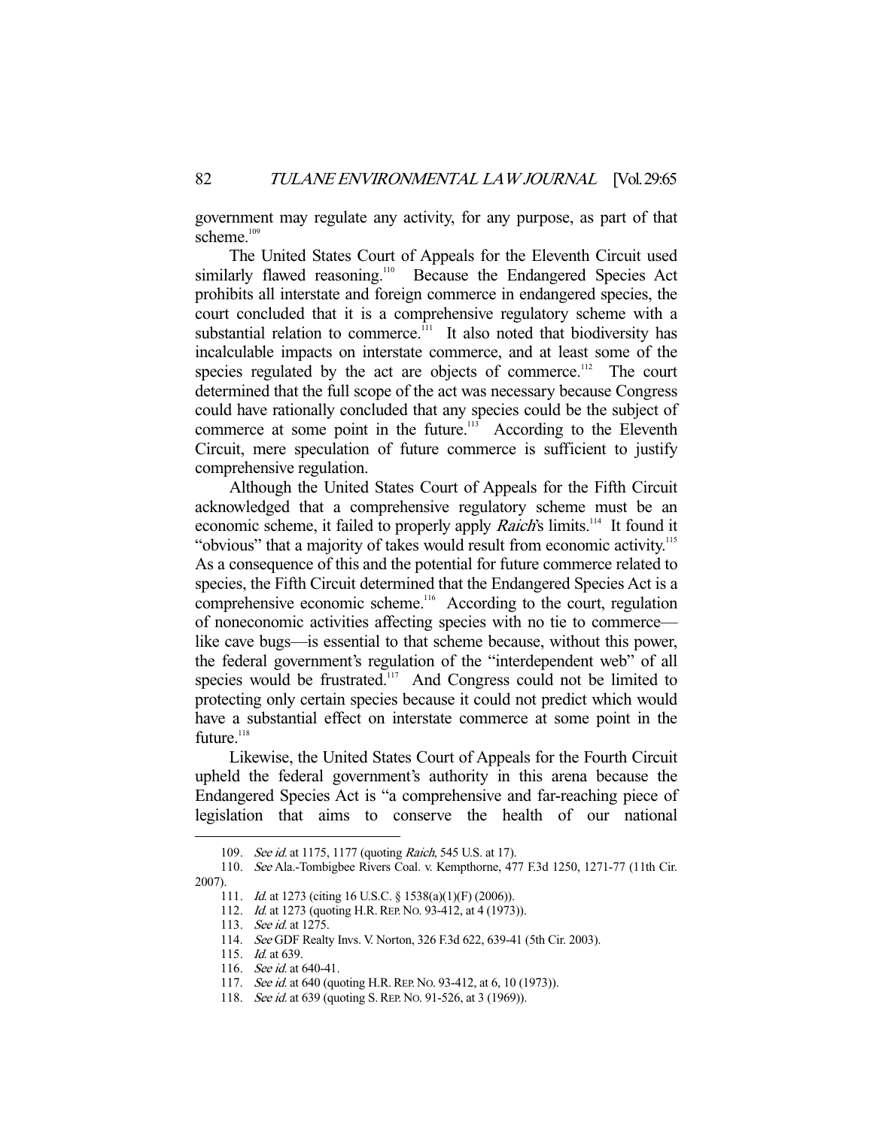government may regulate any activity, for any purpose, as part of that scheme.<sup>109</sup>

 The United States Court of Appeals for the Eleventh Circuit used similarly flawed reasoning.<sup>110</sup> Because the Endangered Species Act prohibits all interstate and foreign commerce in endangered species, the court concluded that it is a comprehensive regulatory scheme with a substantial relation to commerce.<sup> $11$ </sup> It also noted that biodiversity has incalculable impacts on interstate commerce, and at least some of the species regulated by the act are objects of commerce.<sup>112</sup> The court determined that the full scope of the act was necessary because Congress could have rationally concluded that any species could be the subject of commerce at some point in the future.<sup>113</sup> According to the Eleventh Circuit, mere speculation of future commerce is sufficient to justify comprehensive regulation.

 Although the United States Court of Appeals for the Fifth Circuit acknowledged that a comprehensive regulatory scheme must be an economic scheme, it failed to properly apply *Raich's* limits.<sup>114</sup> It found it "obvious" that a majority of takes would result from economic activity.<sup>115</sup> As a consequence of this and the potential for future commerce related to species, the Fifth Circuit determined that the Endangered Species Act is a comprehensive economic scheme.<sup>116</sup> According to the court, regulation of noneconomic activities affecting species with no tie to commerce like cave bugs—is essential to that scheme because, without this power, the federal government's regulation of the "interdependent web" of all species would be frustrated.<sup>117</sup> And Congress could not be limited to protecting only certain species because it could not predict which would have a substantial effect on interstate commerce at some point in the future.<sup>118</sup>

 Likewise, the United States Court of Appeals for the Fourth Circuit upheld the federal government's authority in this arena because the Endangered Species Act is "a comprehensive and far-reaching piece of legislation that aims to conserve the health of our national

<sup>109.</sup> See id. at 1175, 1177 (quoting Raich, 545 U.S. at 17).

 <sup>110.</sup> See Ala.-Tombigbee Rivers Coal. v. Kempthorne, 477 F.3d 1250, 1271-77 (11th Cir. 2007).

 <sup>111.</sup> Id. at 1273 (citing 16 U.S.C. § 1538(a)(1)(F) (2006)).

<sup>112.</sup> *Id.* at 1273 (quoting H.R. REP. No. 93-412, at 4 (1973)).

 <sup>113.</sup> See id. at 1275.

 <sup>114.</sup> See GDF Realty Invs. V. Norton, 326 F.3d 622, 639-41 (5th Cir. 2003).

<sup>115.</sup> *Id.* at 639.

<sup>116.</sup> *See id.* at 640-41.

<sup>117.</sup> See id. at 640 (quoting H.R. REP. No. 93-412, at 6, 10 (1973)).

<sup>118.</sup> See id. at 639 (quoting S. REP. No. 91-526, at 3 (1969)).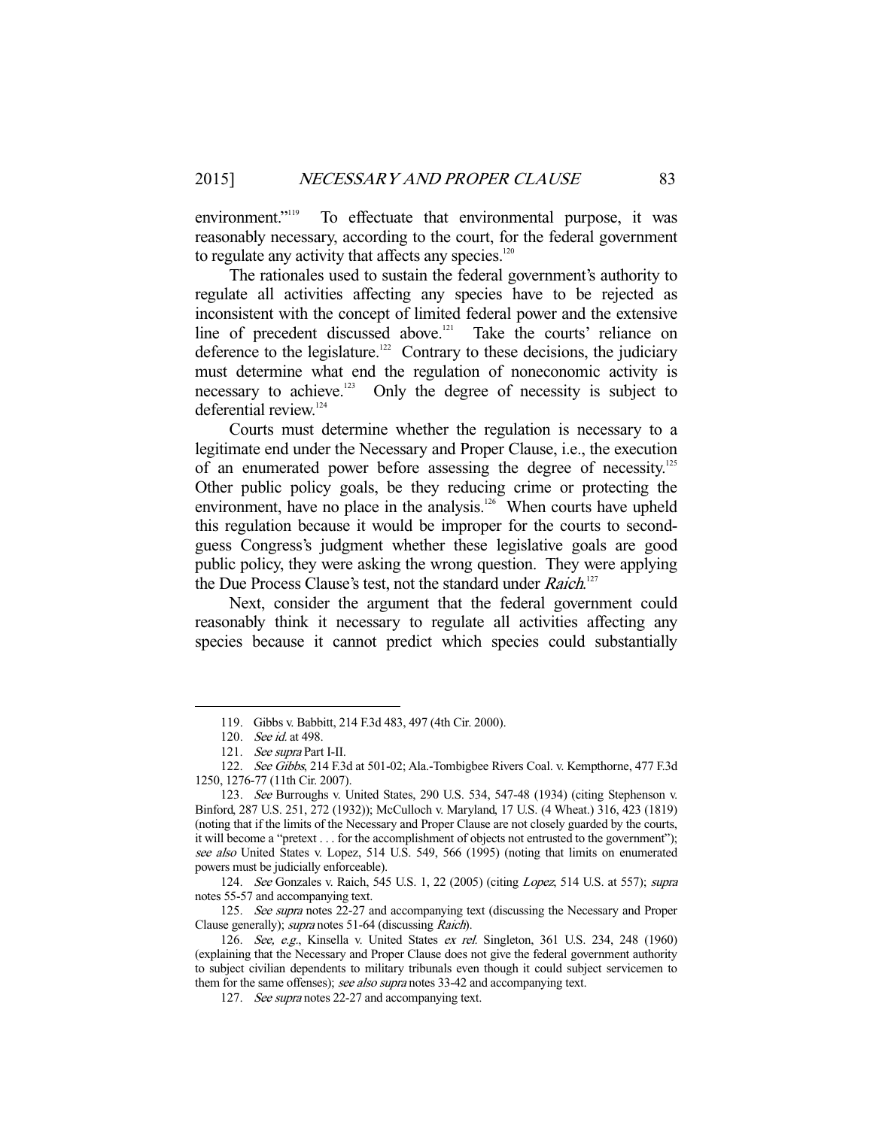environment."<sup>119</sup> To effectuate that environmental purpose, it was reasonably necessary, according to the court, for the federal government to regulate any activity that affects any species.<sup>120</sup>

 The rationales used to sustain the federal government's authority to regulate all activities affecting any species have to be rejected as inconsistent with the concept of limited federal power and the extensive line of precedent discussed above.<sup>121</sup> Take the courts' reliance on deference to the legislature.<sup>122</sup> Contrary to these decisions, the judiciary must determine what end the regulation of noneconomic activity is necessary to achieve.<sup>123</sup> Only the degree of necessity is subject to deferential review.<sup>124</sup>

 Courts must determine whether the regulation is necessary to a legitimate end under the Necessary and Proper Clause, i.e., the execution of an enumerated power before assessing the degree of necessity.<sup>125</sup> Other public policy goals, be they reducing crime or protecting the environment, have no place in the analysis. $126$  When courts have upheld this regulation because it would be improper for the courts to secondguess Congress's judgment whether these legislative goals are good public policy, they were asking the wrong question. They were applying the Due Process Clause's test, not the standard under Raich.<sup>127</sup>

 Next, consider the argument that the federal government could reasonably think it necessary to regulate all activities affecting any species because it cannot predict which species could substantially

-

 124. See Gonzales v. Raich, 545 U.S. 1, 22 (2005) (citing Lopez, 514 U.S. at 557); supra notes 55-57 and accompanying text.

125. See supra notes 22-27 and accompanying text (discussing the Necessary and Proper Clause generally); supra notes 51-64 (discussing Raich).

 <sup>119.</sup> Gibbs v. Babbitt, 214 F.3d 483, 497 (4th Cir. 2000).

 <sup>120.</sup> See id. at 498.

<sup>121.</sup> *See supra* Part I-II.

<sup>122.</sup> See Gibbs, 214 F.3d at 501-02; Ala.-Tombigbee Rivers Coal. v. Kempthorne, 477 F.3d 1250, 1276-77 (11th Cir. 2007).

 <sup>123.</sup> See Burroughs v. United States, 290 U.S. 534, 547-48 (1934) (citing Stephenson v. Binford, 287 U.S. 251, 272 (1932)); McCulloch v. Maryland, 17 U.S. (4 Wheat.) 316, 423 (1819) (noting that if the limits of the Necessary and Proper Clause are not closely guarded by the courts, it will become a "pretext . . . for the accomplishment of objects not entrusted to the government"); see also United States v. Lopez, 514 U.S. 549, 566 (1995) (noting that limits on enumerated powers must be judicially enforceable).

<sup>126.</sup> See, e.g., Kinsella v. United States ex rel. Singleton, 361 U.S. 234, 248 (1960) (explaining that the Necessary and Proper Clause does not give the federal government authority to subject civilian dependents to military tribunals even though it could subject servicemen to them for the same offenses); see also supra notes 33-42 and accompanying text.

<sup>127.</sup> See supra notes 22-27 and accompanying text.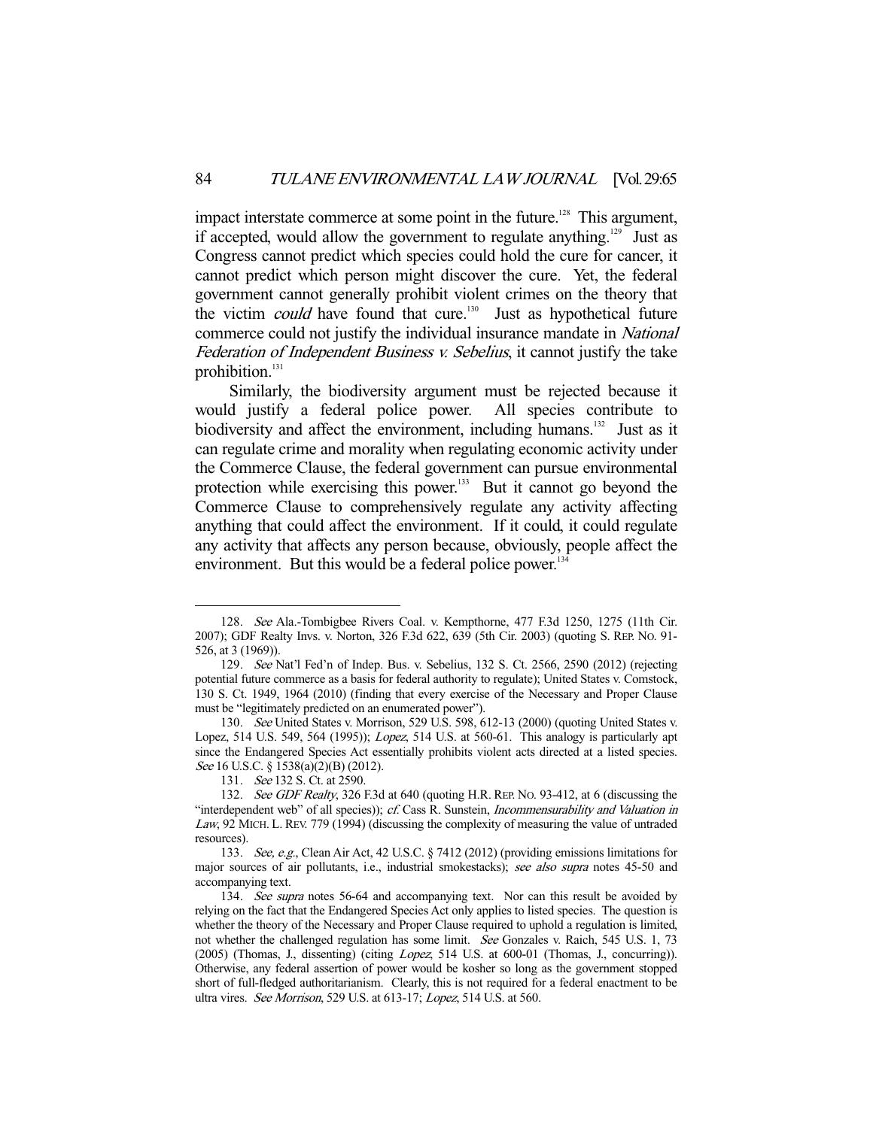impact interstate commerce at some point in the future.<sup>128</sup> This argument, if accepted, would allow the government to regulate anything.<sup>129</sup> Just as Congress cannot predict which species could hold the cure for cancer, it cannot predict which person might discover the cure. Yet, the federal government cannot generally prohibit violent crimes on the theory that the victim *could* have found that cure.<sup>130</sup> Just as hypothetical future commerce could not justify the individual insurance mandate in National Federation of Independent Business v. Sebelius, it cannot justify the take prohibition.<sup>131</sup>

 Similarly, the biodiversity argument must be rejected because it would justify a federal police power. All species contribute to biodiversity and affect the environment, including humans.<sup>132</sup> Just as it can regulate crime and morality when regulating economic activity under the Commerce Clause, the federal government can pursue environmental protection while exercising this power. $133$  But it cannot go beyond the Commerce Clause to comprehensively regulate any activity affecting anything that could affect the environment. If it could, it could regulate any activity that affects any person because, obviously, people affect the environment. But this would be a federal police power.<sup>134</sup>

 <sup>128.</sup> See Ala.-Tombigbee Rivers Coal. v. Kempthorne, 477 F.3d 1250, 1275 (11th Cir. 2007); GDF Realty Invs. v. Norton, 326 F.3d 622, 639 (5th Cir. 2003) (quoting S. REP. NO. 91- 526, at 3 (1969)).

 <sup>129.</sup> See Nat'l Fed'n of Indep. Bus. v. Sebelius, 132 S. Ct. 2566, 2590 (2012) (rejecting potential future commerce as a basis for federal authority to regulate); United States v. Comstock, 130 S. Ct. 1949, 1964 (2010) (finding that every exercise of the Necessary and Proper Clause must be "legitimately predicted on an enumerated power").

 <sup>130.</sup> See United States v. Morrison, 529 U.S. 598, 612-13 (2000) (quoting United States v. Lopez, 514 U.S. 549, 564 (1995)); Lopez, 514 U.S. at 560-61. This analogy is particularly apt since the Endangered Species Act essentially prohibits violent acts directed at a listed species. See 16 U.S.C. § 1538(a)(2)(B) (2012).

 <sup>131.</sup> See 132 S. Ct. at 2590.

<sup>132.</sup> See GDF Realty, 326 F.3d at 640 (quoting H.R. REP. No. 93-412, at 6 (discussing the "interdependent web" of all species)); cf. Cass R. Sunstein, Incommensurability and Valuation in Law, 92 MICH. L. REV. 779 (1994) (discussing the complexity of measuring the value of untraded resources).

 <sup>133.</sup> See, e.g., Clean Air Act, 42 U.S.C. § 7412 (2012) (providing emissions limitations for major sources of air pollutants, i.e., industrial smokestacks); see also supra notes 45-50 and accompanying text.

<sup>134.</sup> See supra notes 56-64 and accompanying text. Nor can this result be avoided by relying on the fact that the Endangered Species Act only applies to listed species. The question is whether the theory of the Necessary and Proper Clause required to uphold a regulation is limited, not whether the challenged regulation has some limit. See Gonzales v. Raich, 545 U.S. 1, 73 (2005) (Thomas, J., dissenting) (citing Lopez, 514 U.S. at 600-01 (Thomas, J., concurring)). Otherwise, any federal assertion of power would be kosher so long as the government stopped short of full-fledged authoritarianism. Clearly, this is not required for a federal enactment to be ultra vires. See Morrison, 529 U.S. at 613-17; Lopez, 514 U.S. at 560.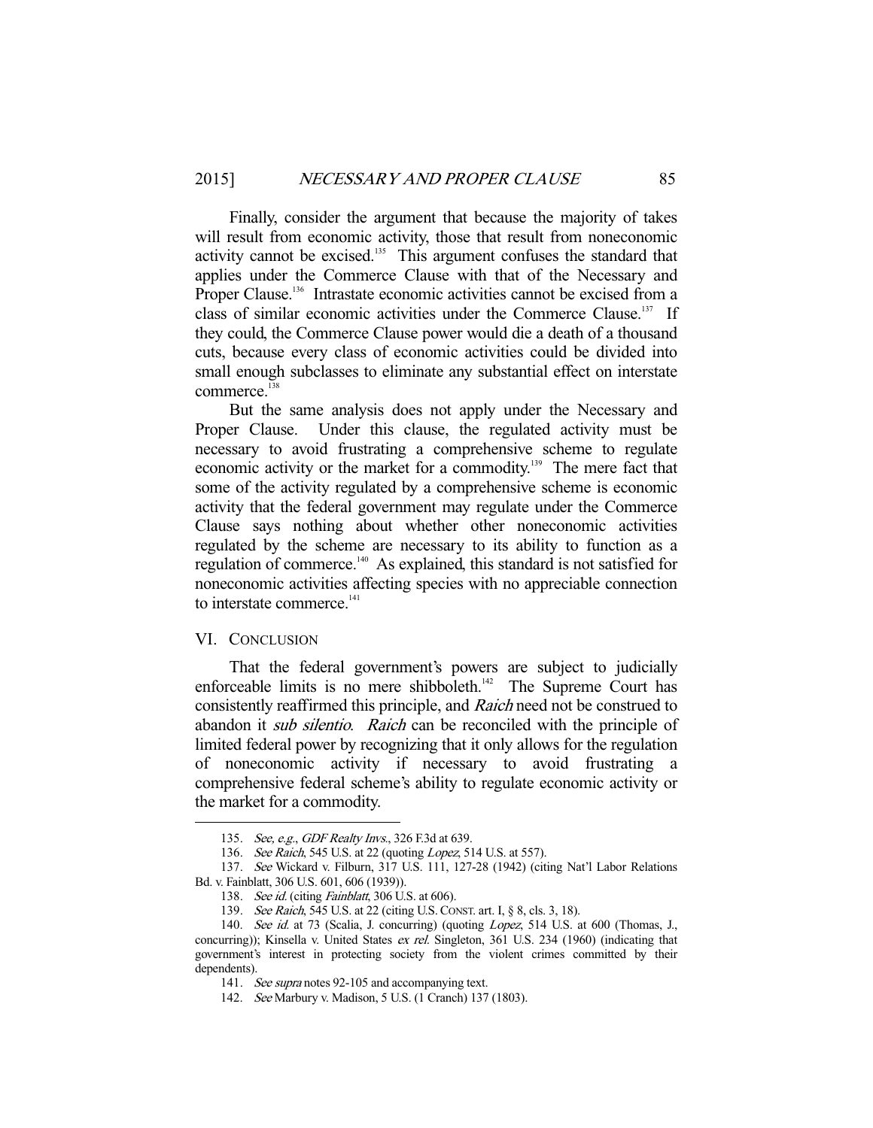Finally, consider the argument that because the majority of takes will result from economic activity, those that result from noneconomic activity cannot be excised.<sup>135</sup> This argument confuses the standard that applies under the Commerce Clause with that of the Necessary and Proper Clause.<sup>136</sup> Intrastate economic activities cannot be excised from a class of similar economic activities under the Commerce Clause.<sup>137</sup> If they could, the Commerce Clause power would die a death of a thousand cuts, because every class of economic activities could be divided into small enough subclasses to eliminate any substantial effect on interstate commerce.<sup>138</sup>

 But the same analysis does not apply under the Necessary and Proper Clause. Under this clause, the regulated activity must be necessary to avoid frustrating a comprehensive scheme to regulate economic activity or the market for a commodity.<sup>139</sup> The mere fact that some of the activity regulated by a comprehensive scheme is economic activity that the federal government may regulate under the Commerce Clause says nothing about whether other noneconomic activities regulated by the scheme are necessary to its ability to function as a regulation of commerce.140 As explained, this standard is not satisfied for noneconomic activities affecting species with no appreciable connection to interstate commerce.<sup>141</sup>

#### VI. CONCLUSION

-

 That the federal government's powers are subject to judicially enforceable limits is no mere shibboleth.<sup>142</sup> The Supreme Court has consistently reaffirmed this principle, and Raich need not be construed to abandon it *sub silentio. Raich* can be reconciled with the principle of limited federal power by recognizing that it only allows for the regulation of noneconomic activity if necessary to avoid frustrating a comprehensive federal scheme's ability to regulate economic activity or the market for a commodity.

<sup>135.</sup> See, e.g., GDF Realty Invs., 326 F.3d at 639.

<sup>136.</sup> See Raich, 545 U.S. at 22 (quoting Lopez, 514 U.S. at 557).

 <sup>137.</sup> See Wickard v. Filburn, 317 U.S. 111, 127-28 (1942) (citing Nat'l Labor Relations Bd. v. Fainblatt, 306 U.S. 601, 606 (1939)).

<sup>138.</sup> See id. (citing Fainblatt, 306 U.S. at 606).

<sup>139.</sup> See Raich, 545 U.S. at 22 (citing U.S. CONST. art. I, § 8, cls. 3, 18).

<sup>140.</sup> See id. at 73 (Scalia, J. concurring) (quoting Lopez, 514 U.S. at 600 (Thomas, J., concurring)); Kinsella v. United States ex rel. Singleton, 361 U.S. 234 (1960) (indicating that government's interest in protecting society from the violent crimes committed by their dependents).

<sup>141.</sup> See supra notes 92-105 and accompanying text.

 <sup>142.</sup> See Marbury v. Madison, 5 U.S. (1 Cranch) 137 (1803).